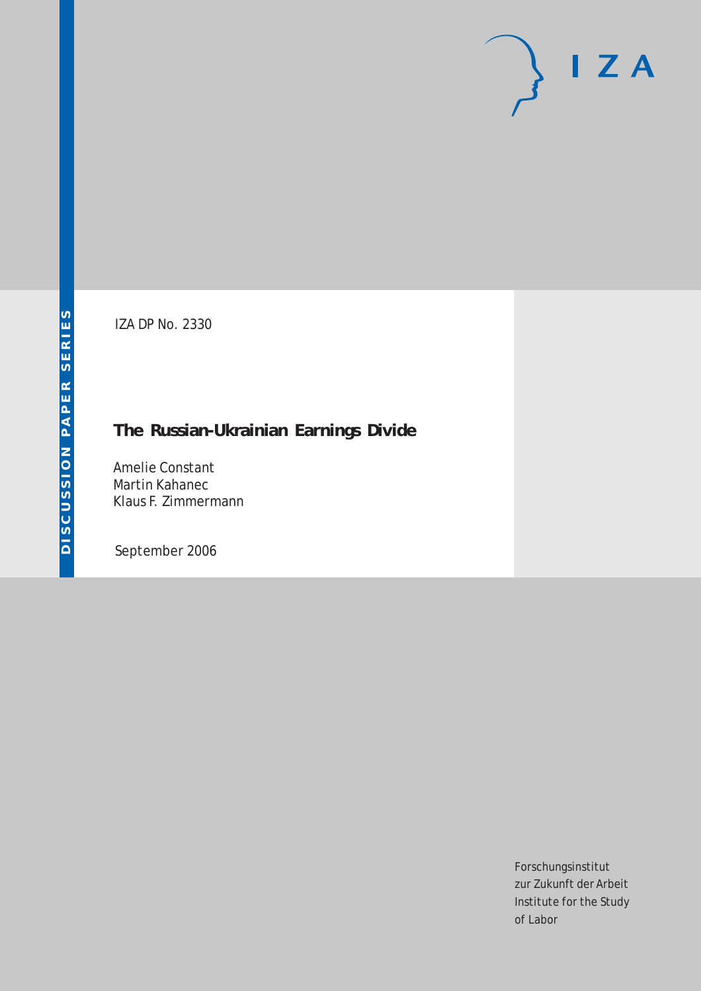# $I Z A$

IZA DP No. 2330

# **The Russian-Ukrainian Earnings Divide**

Amelie Constant Martin Kahanec Klaus F. Zimmermann

September 2006

Forschungsinstitut zur Zukunft der Arbeit Institute for the Study of Labor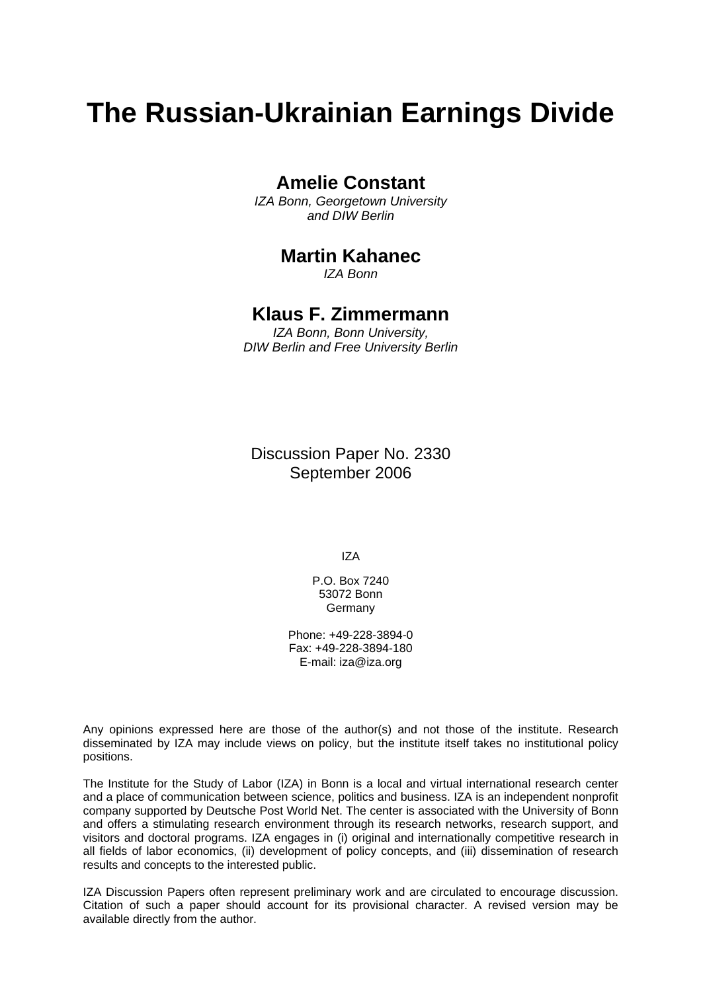# **The Russian-Ukrainian Earnings Divide**

### **Amelie Constant**

*IZA Bonn, Georgetown University and DIW Berlin* 

## **Martin Kahanec**

*IZA Bonn*

## **Klaus F. Zimmermann**

*IZA Bonn, Bonn University, DIW Berlin and Free University Berlin* 

Discussion Paper No. 2330 September 2006

IZA

P.O. Box 7240 53072 Bonn Germany

Phone: +49-228-3894-0 Fax: +49-228-3894-180 E-mail: [iza@iza.org](mailto:iza@iza.org)

Any opinions expressed here are those of the author(s) and not those of the institute. Research disseminated by IZA may include views on policy, but the institute itself takes no institutional policy positions.

The Institute for the Study of Labor (IZA) in Bonn is a local and virtual international research center and a place of communication between science, politics and business. IZA is an independent nonprofit company supported by Deutsche Post World Net. The center is associated with the University of Bonn and offers a stimulating research environment through its research networks, research support, and visitors and doctoral programs. IZA engages in (i) original and internationally competitive research in all fields of labor economics, (ii) development of policy concepts, and (iii) dissemination of research results and concepts to the interested public.

IZA Discussion Papers often represent preliminary work and are circulated to encourage discussion. Citation of such a paper should account for its provisional character. A revised version may be available directly from the author.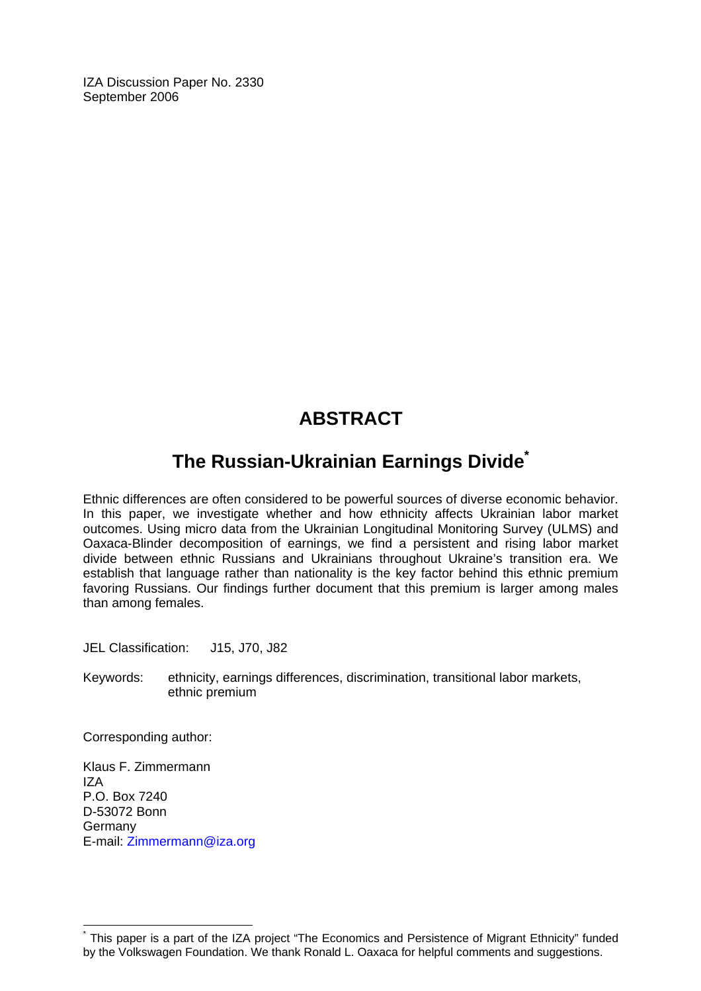IZA Discussion Paper No. 2330 September 2006

# **ABSTRACT**

## **The Russian-Ukrainian Earnings Divide[\\*](#page-2-0)**

Ethnic differences are often considered to be powerful sources of diverse economic behavior. In this paper, we investigate whether and how ethnicity affects Ukrainian labor market outcomes. Using micro data from the Ukrainian Longitudinal Monitoring Survey (ULMS) and Oaxaca-Blinder decomposition of earnings, we find a persistent and rising labor market divide between ethnic Russians and Ukrainians throughout Ukraine's transition era. We establish that language rather than nationality is the key factor behind this ethnic premium favoring Russians. Our findings further document that this premium is larger among males than among females.

JEL Classification: J15, J70, J82

Keywords: ethnicity, earnings differences, discrimination, transitional labor markets, ethnic premium

Corresponding author:

 $\overline{a}$ 

Klaus F. Zimmermann IZA P.O. Box 7240 D-53072 Bonn Germany E-mail: [Zimmermann@iza.org](mailto:Zimmermann@iza.org) 

<span id="page-2-0"></span><sup>\*</sup> This paper is a part of the IZA project "The Economics and Persistence of Migrant Ethnicity" funded by the Volkswagen Foundation. We thank Ronald L. Oaxaca for helpful comments and suggestions.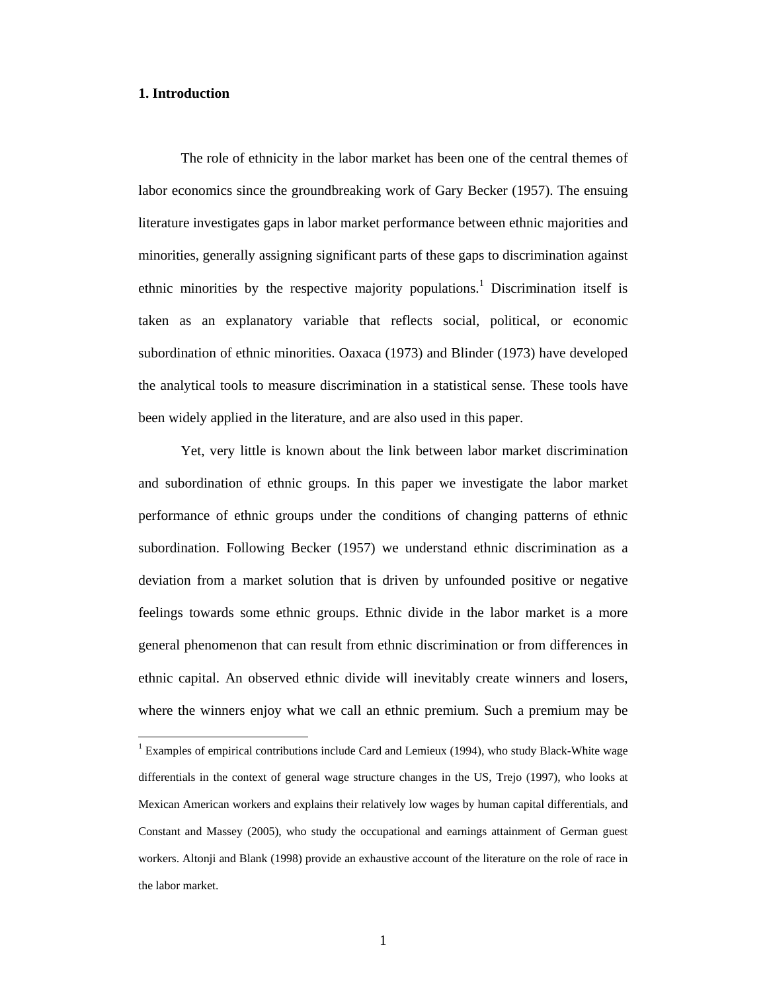#### **1. Introduction**

 $\overline{a}$ 

 The role of ethnicity in the labor market has been one of the central themes of labor economics since the groundbreaking work of Gary Becker (1957). The ensuing literature investigates gaps in labor market performance between ethnic majorities and minorities, generally assigning significant parts of these gaps to discrimination against ethnic minorities by the respective majority populations.<sup>1</sup> Discrimination itself is taken as an explanatory variable that reflects social, political, or economic subordination of ethnic minorities. Oaxaca (1973) and Blinder (1973) have developed the analytical tools to measure discrimination in a statistical sense. These tools have been widely applied in the literature, and are also used in this paper.

 Yet, very little is known about the link between labor market discrimination and subordination of ethnic groups. In this paper we investigate the labor market performance of ethnic groups under the conditions of changing patterns of ethnic subordination. Following Becker (1957) we understand ethnic discrimination as a deviation from a market solution that is driven by unfounded positive or negative feelings towards some ethnic groups. Ethnic divide in the labor market is a more general phenomenon that can result from ethnic discrimination or from differences in ethnic capital. An observed ethnic divide will inevitably create winners and losers, where the winners enjoy what we call an ethnic premium. Such a premium may be

<sup>&</sup>lt;sup>1</sup> Examples of empirical contributions include Card and Lemieux (1994), who study Black-White wage differentials in the context of general wage structure changes in the US, Trejo (1997), who looks at Mexican American workers and explains their relatively low wages by human capital differentials, and Constant and Massey (2005), who study the occupational and earnings attainment of German guest workers. Altonji and Blank (1998) provide an exhaustive account of the literature on the role of race in the labor market.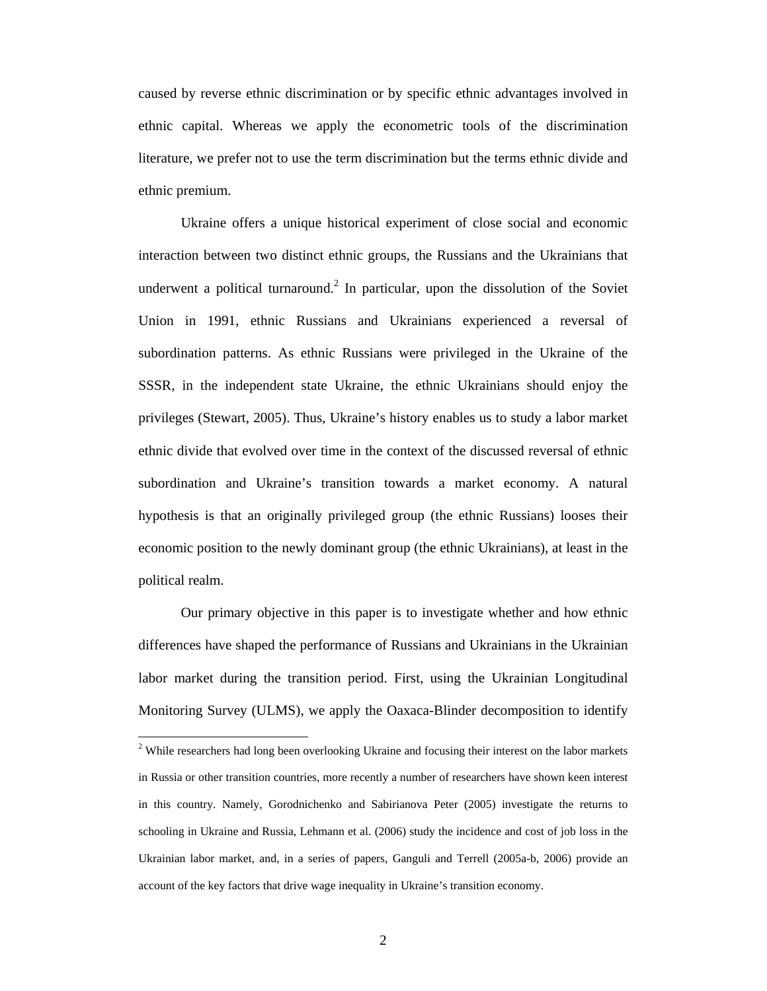caused by reverse ethnic discrimination or by specific ethnic advantages involved in ethnic capital. Whereas we apply the econometric tools of the discrimination literature, we prefer not to use the term discrimination but the terms ethnic divide and ethnic premium.

 Ukraine offers a unique historical experiment of close social and economic interaction between two distinct ethnic groups, the Russians and the Ukrainians that underwent a political turnaround.<sup>2</sup> In particular, upon the dissolution of the Soviet Union in 1991, ethnic Russians and Ukrainians experienced a reversal of subordination patterns. As ethnic Russians were privileged in the Ukraine of the SSSR, in the independent state Ukraine, the ethnic Ukrainians should enjoy the privileges (Stewart, 2005). Thus, Ukraine's history enables us to study a labor market ethnic divide that evolved over time in the context of the discussed reversal of ethnic subordination and Ukraine's transition towards a market economy. A natural hypothesis is that an originally privileged group (the ethnic Russians) looses their economic position to the newly dominant group (the ethnic Ukrainians), at least in the political realm.

 Our primary objective in this paper is to investigate whether and how ethnic differences have shaped the performance of Russians and Ukrainians in the Ukrainian labor market during the transition period. First, using the Ukrainian Longitudinal Monitoring Survey (ULMS), we apply the Oaxaca-Blinder decomposition to identify

<sup>&</sup>lt;sup>2</sup> While researchers had long been overlooking Ukraine and focusing their interest on the labor markets in Russia or other transition countries, more recently a number of researchers have shown keen interest in this country. Namely, Gorodnichenko and Sabirianova Peter (2005) investigate the returns to schooling in Ukraine and Russia, Lehmann et al. (2006) study the incidence and cost of job loss in the Ukrainian labor market, and, in a series of papers, Ganguli and Terrell (2005a-b, 2006) provide an account of the key factors that drive wage inequality in Ukraine's transition economy.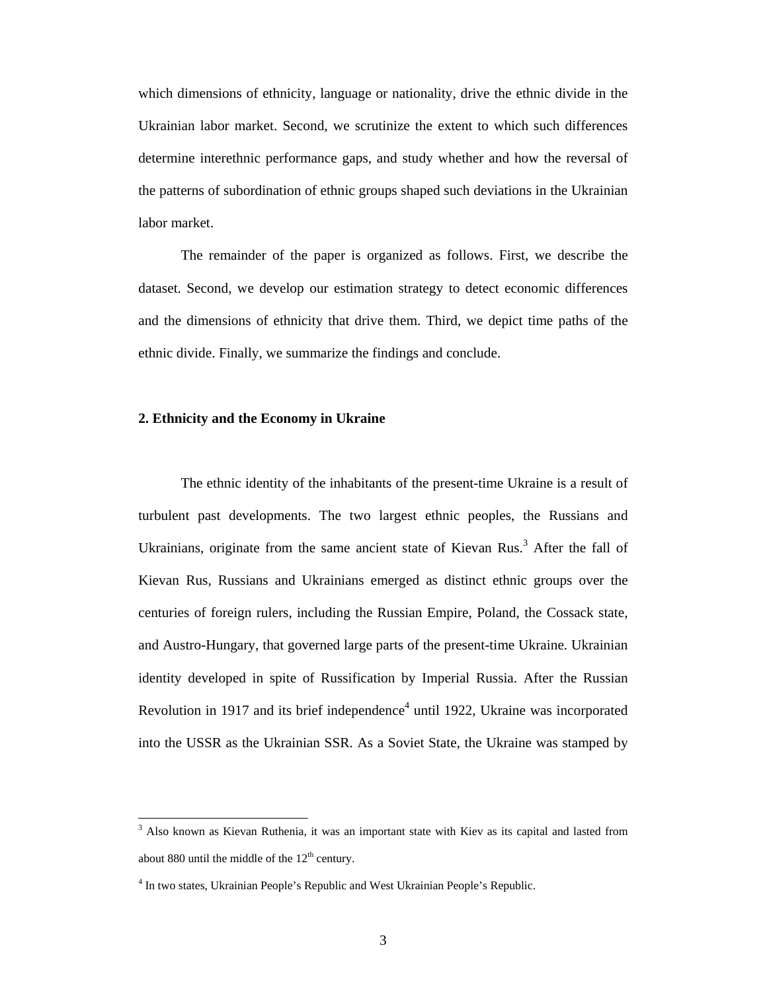which dimensions of ethnicity, language or nationality, drive the ethnic divide in the Ukrainian labor market. Second, we scrutinize the extent to which such differences determine interethnic performance gaps, and study whether and how the reversal of the patterns of subordination of ethnic groups shaped such deviations in the Ukrainian labor market.

 The remainder of the paper is organized as follows. First, we describe the dataset. Second, we develop our estimation strategy to detect economic differences and the dimensions of ethnicity that drive them. Third, we depict time paths of the ethnic divide. Finally, we summarize the findings and conclude.

#### **2. Ethnicity and the Economy in Ukraine**

 The ethnic identity of the inhabitants of the present-time Ukraine is a result of turbulent past developments. The two largest ethnic peoples, the Russians and Ukrainians, originate from the same ancient state of Kievan Rus.<sup>3</sup> After the fall of Kievan Rus, Russians and Ukrainians emerged as distinct ethnic groups over the centuries of foreign rulers, including the Russian Empire, Poland, the Cossack state, and Austro-Hungary, that governed large parts of the present-time Ukraine. Ukrainian identity developed in spite of Russification by Imperial Russia. After the Russian Revolution in 1917 and its brief independence<sup>4</sup> until 1922, Ukraine was incorporated into the USSR as the Ukrainian SSR. As a Soviet State, the Ukraine was stamped by

<sup>&</sup>lt;sup>3</sup> Also known as Kievan Ruthenia, it was an important state with Kiev as its capital and lasted from about 880 until the middle of the  $12<sup>th</sup>$  century.

<sup>&</sup>lt;sup>4</sup> In two states, Ukrainian People's Republic and West Ukrainian People's Republic.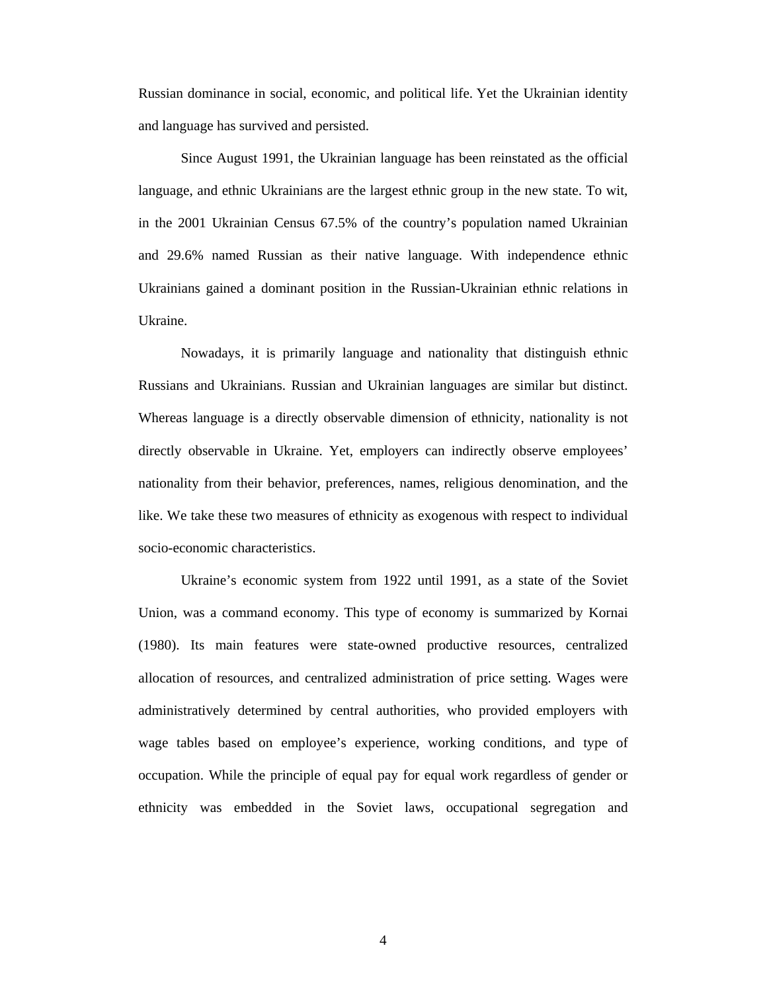Russian dominance in social, economic, and political life. Yet the Ukrainian identity and language has survived and persisted.

 Since August 1991, the Ukrainian language has been reinstated as the official language, and ethnic Ukrainians are the largest ethnic group in the new state. To wit, in the 2001 Ukrainian Census 67.5% of the country's population named Ukrainian and 29.6% named Russian as their native language. With independence ethnic Ukrainians gained a dominant position in the Russian-Ukrainian ethnic relations in Ukraine.

 Nowadays, it is primarily language and nationality that distinguish ethnic Russians and Ukrainians. Russian and Ukrainian languages are similar but distinct. Whereas language is a directly observable dimension of ethnicity, nationality is not directly observable in Ukraine. Yet, employers can indirectly observe employees' nationality from their behavior, preferences, names, religious denomination, and the like. We take these two measures of ethnicity as exogenous with respect to individual socio-economic characteristics.

 Ukraine's economic system from 1922 until 1991, as a state of the Soviet Union, was a command economy. This type of economy is summarized by Kornai (1980). Its main features were state-owned productive resources, centralized allocation of resources, and centralized administration of price setting. Wages were administratively determined by central authorities, who provided employers with wage tables based on employee's experience, working conditions, and type of occupation. While the principle of equal pay for equal work regardless of gender or ethnicity was embedded in the Soviet laws, occupational segregation and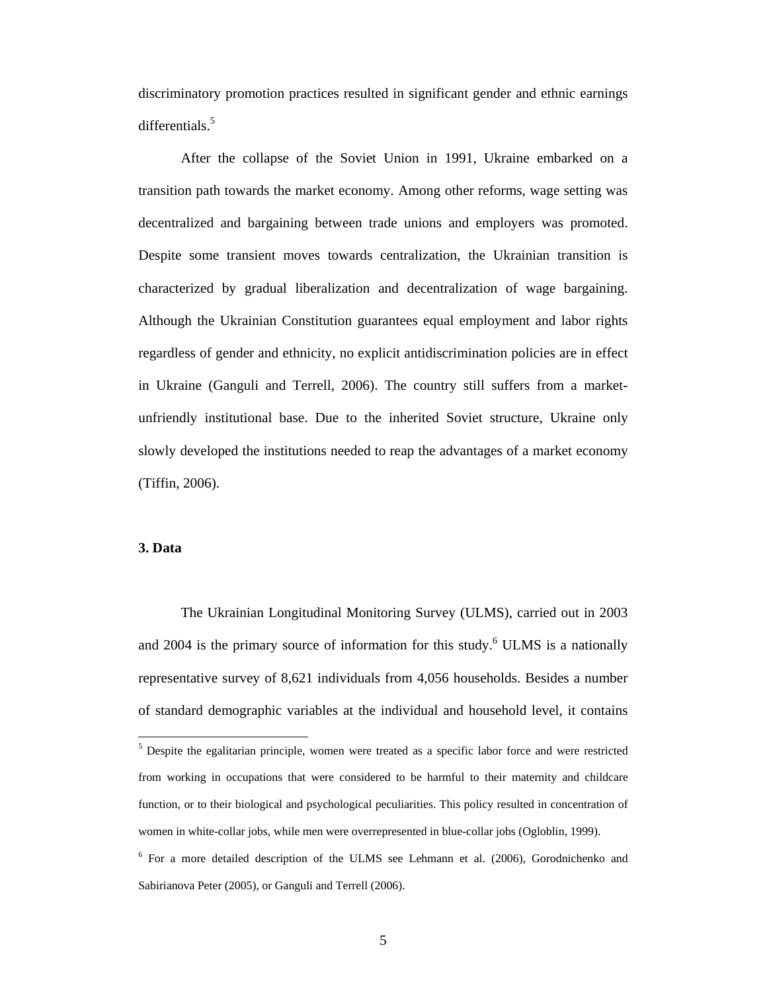discriminatory promotion practices resulted in significant gender and ethnic earnings differentials.<sup>5</sup>

 After the collapse of the Soviet Union in 1991, Ukraine embarked on a transition path towards the market economy. Among other reforms, wage setting was decentralized and bargaining between trade unions and employers was promoted. Despite some transient moves towards centralization, the Ukrainian transition is characterized by gradual liberalization and decentralization of wage bargaining. Although the Ukrainian Constitution guarantees equal employment and labor rights regardless of gender and ethnicity, no explicit antidiscrimination policies are in effect in Ukraine (Ganguli and Terrell, 2006). The country still suffers from a marketunfriendly institutional base. Due to the inherited Soviet structure, Ukraine only slowly developed the institutions needed to reap the advantages of a market economy (Tiffin, 2006).

#### **3. Data**

 The Ukrainian Longitudinal Monitoring Survey (ULMS), carried out in 2003 and  $2004$  is the primary source of information for this study.<sup>6</sup> ULMS is a nationally representative survey of 8,621 individuals from 4,056 households. Besides a number of standard demographic variables at the individual and household level, it contains

<sup>&</sup>lt;sup>5</sup> Despite the egalitarian principle, women were treated as a specific labor force and were restricted from working in occupations that were considered to be harmful to their maternity and childcare function, or to their biological and psychological peculiarities. This policy resulted in concentration of women in white-collar jobs, while men were overrepresented in blue-collar jobs (Ogloblin, 1999).

<sup>&</sup>lt;sup>6</sup> For a more detailed description of the ULMS see Lehmann et al. (2006), Gorodnichenko and Sabirianova Peter (2005), or Ganguli and Terrell (2006).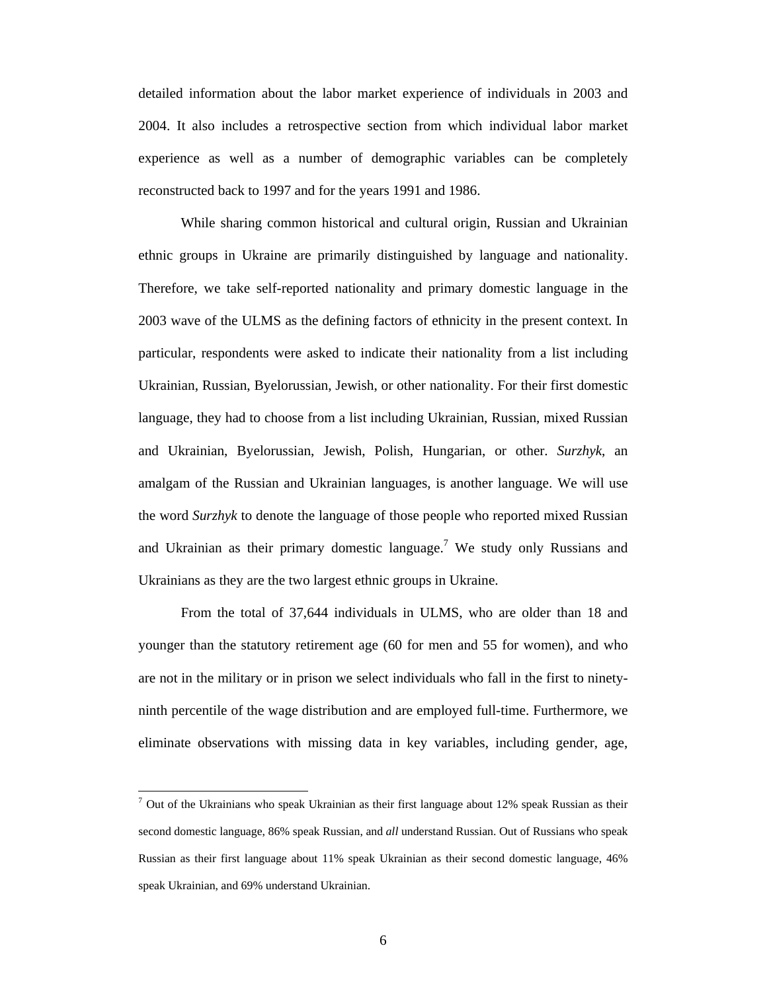detailed information about the labor market experience of individuals in 2003 and 2004. It also includes a retrospective section from which individual labor market experience as well as a number of demographic variables can be completely reconstructed back to 1997 and for the years 1991 and 1986.

 While sharing common historical and cultural origin, Russian and Ukrainian ethnic groups in Ukraine are primarily distinguished by language and nationality. Therefore, we take self-reported nationality and primary domestic language in the 2003 wave of the ULMS as the defining factors of ethnicity in the present context. In particular, respondents were asked to indicate their nationality from a list including Ukrainian, Russian, Byelorussian, Jewish, or other nationality. For their first domestic language, they had to choose from a list including Ukrainian, Russian, mixed Russian and Ukrainian, Byelorussian, Jewish, Polish, Hungarian, or other. *Surzhyk*, an amalgam of the Russian and Ukrainian languages, is another language. We will use the word *Surzhyk* to denote the language of those people who reported mixed Russian and Ukrainian as their primary domestic language.<sup>7</sup> We study only Russians and Ukrainians as they are the two largest ethnic groups in Ukraine.

 From the total of 37,644 individuals in ULMS, who are older than 18 and younger than the statutory retirement age (60 for men and 55 for women), and who are not in the military or in prison we select individuals who fall in the first to ninetyninth percentile of the wage distribution and are employed full-time. Furthermore, we eliminate observations with missing data in key variables, including gender, age,

 $\overline{a}$ 

 $7$  Out of the Ukrainians who speak Ukrainian as their first language about 12% speak Russian as their second domestic language, 86% speak Russian, and *all* understand Russian. Out of Russians who speak Russian as their first language about 11% speak Ukrainian as their second domestic language, 46% speak Ukrainian, and 69% understand Ukrainian.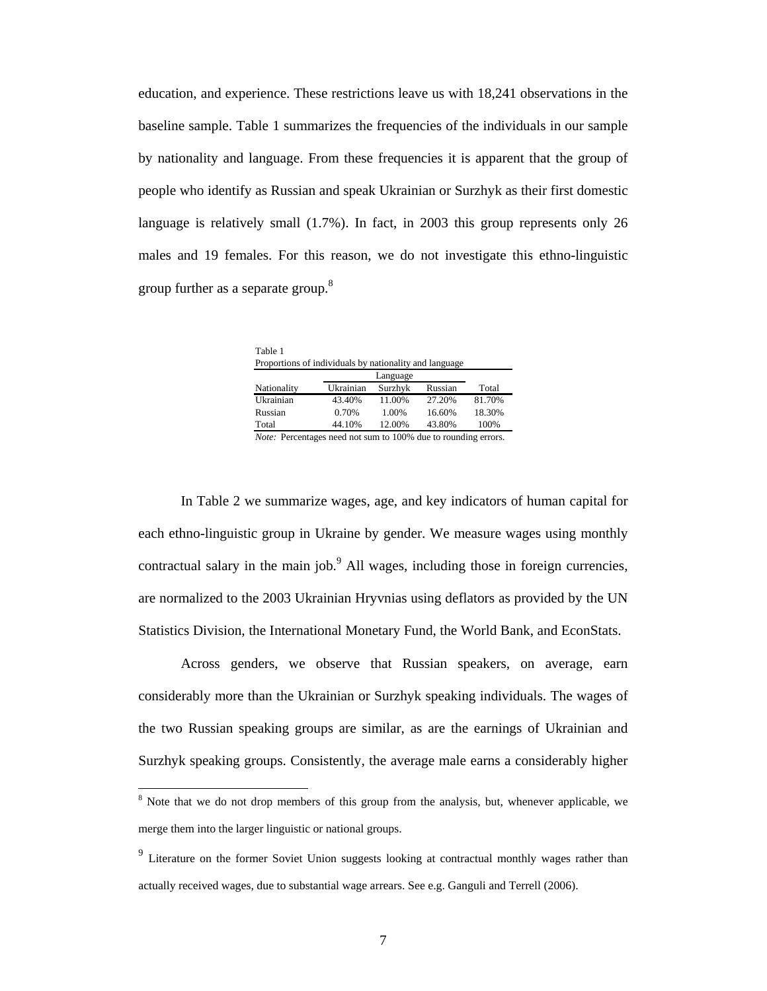education, and experience. These restrictions leave us with 18,241 observations in the baseline sample. Table 1 summarizes the frequencies of the individuals in our sample by nationality and language. From these frequencies it is apparent that the group of people who identify as Russian and speak Ukrainian or Surzhyk as their first domestic language is relatively small (1.7%). In fact, in 2003 this group represents only 26 males and 19 females. For this reason, we do not investigate this ethno-linguistic group further as a separate group.<sup>8</sup>

| Table 1                                                |           |          |         |        |  |  |  |  |  |  |
|--------------------------------------------------------|-----------|----------|---------|--------|--|--|--|--|--|--|
| Proportions of individuals by nationality and language |           |          |         |        |  |  |  |  |  |  |
|                                                        |           | Language |         |        |  |  |  |  |  |  |
| Nationality                                            | Ukrainian | Surzhyk  | Russian | Total  |  |  |  |  |  |  |
| Ukrainian                                              | 43.40%    | 11.00%   | 27.20%  | 81.70% |  |  |  |  |  |  |
| Russian                                                | 0.70%     | 1.00%    | 16.60%  | 18.30% |  |  |  |  |  |  |
| Total                                                  | 44.10%    | 12.00%   | 43.80%  | 100%   |  |  |  |  |  |  |
|                                                        |           |          |         |        |  |  |  |  |  |  |

*Note:* Percentages need not sum to 100% due to rounding errors.

 In Table 2 we summarize wages, age, and key indicators of human capital for each ethno-linguistic group in Ukraine by gender. We measure wages using monthly contractual salary in the main job. $9$  All wages, including those in foreign currencies, are normalized to the 2003 Ukrainian Hryvnias using deflators as provided by the UN Statistics Division, the International Monetary Fund, the World Bank, and EconStats.

Across genders, we observe that Russian speakers, on average, earn considerably more than the Ukrainian or Surzhyk speaking individuals. The wages of the two Russian speaking groups are similar, as are the earnings of Ukrainian and Surzhyk speaking groups. Consistently, the average male earns a considerably higher

<sup>&</sup>lt;sup>8</sup> Note that we do not drop members of this group from the analysis, but, whenever applicable, we merge them into the larger linguistic or national groups.

<sup>&</sup>lt;sup>9</sup> Literature on the former Soviet Union suggests looking at contractual monthly wages rather than actually received wages, due to substantial wage arrears. See e.g. Ganguli and Terrell (2006).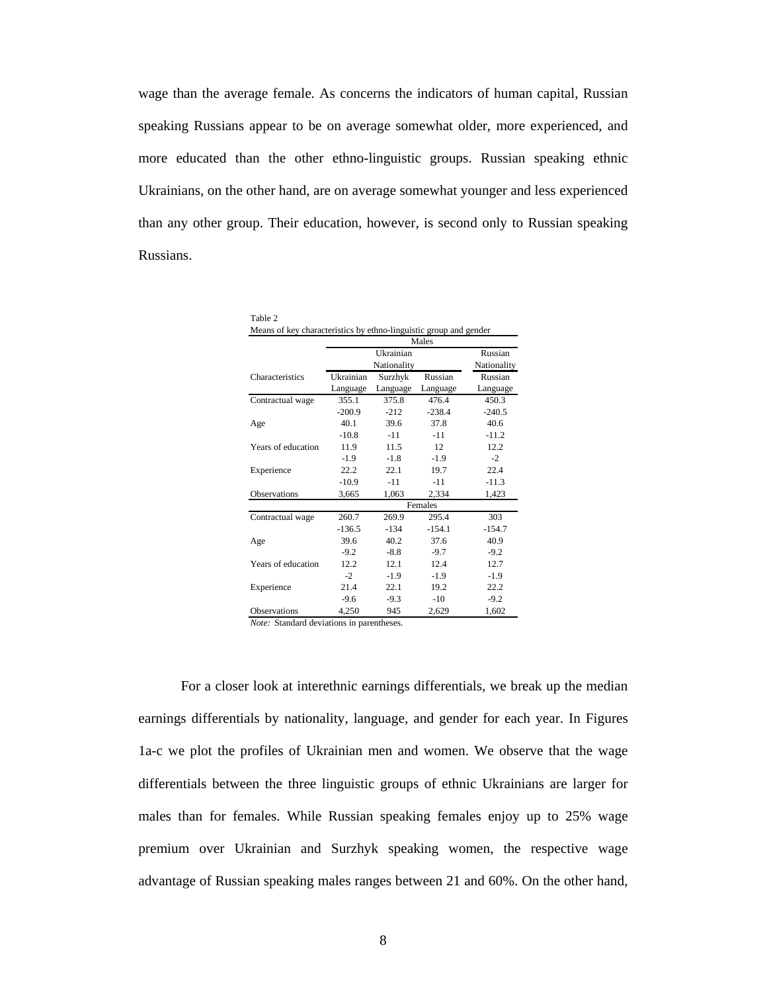wage than the average female. As concerns the indicators of human capital, Russian speaking Russians appear to be on average somewhat older, more experienced, and more educated than the other ethno-linguistic groups. Russian speaking ethnic Ukrainians, on the other hand, are on average somewhat younger and less experienced than any other group. Their education, however, is second only to Russian speaking Russians.

| Table 2<br>Means of key characteristics by ethno-linguistic group and gender |           |             |          |             |  |
|------------------------------------------------------------------------------|-----------|-------------|----------|-------------|--|
|                                                                              |           |             | Males    |             |  |
|                                                                              |           | Ukrainian   |          | Russian     |  |
|                                                                              |           | Nationality |          | Nationality |  |
| Characteristics                                                              | Ukrainian | Surzhyk     | Russian  | Russian     |  |
|                                                                              | Language  | Language    | Language | Language    |  |
| Contractual wage                                                             | 355.1     | 375.8       | 476.4    | 450.3       |  |
|                                                                              | $-200.9$  | $-212$      | $-238.4$ | $-240.5$    |  |
| Age                                                                          | 40.1      | 39.6        | 37.8     | 40.6        |  |
|                                                                              | $-10.8$   | $-11$       | $-11$    | $-11.2$     |  |
| Years of education                                                           | 11.9      | 11.5        | 12       | 12.2        |  |
|                                                                              | $-1.9$    | $-1.8$      | $-1.9$   | $-2$        |  |
| Experience                                                                   | 22.2      | 22.1        | 19.7     | 22.4        |  |
|                                                                              | $-10.9$   | $-11$       | $-11$    | $-11.3$     |  |
| <b>Observations</b>                                                          | 3,665     | 1,063       | 2,334    | 1,423       |  |
|                                                                              |           |             | Females  |             |  |
| Contractual wage                                                             | 260.7     | 269.9       | 295.4    | 303         |  |
|                                                                              | $-136.5$  | $-134$      | $-154.1$ | $-154.7$    |  |
| Age                                                                          | 39.6      | 40.2        | 37.6     | 40.9        |  |
|                                                                              | $-9.2$    | $-8.8$      | $-9.7$   | $-9.2$      |  |
| Years of education                                                           | 12.2      | 12.1        | 12.4     | 12.7        |  |
|                                                                              | $-2$      | $-1.9$      | $-1.9$   | $-1.9$      |  |
| Experience                                                                   | 21.4      | 22.1        | 19.2     | 22.2        |  |
|                                                                              | $-9.6$    | $-9.3$      | $-10$    | $-9.2$      |  |
| Observations                                                                 | 4.250     | 945         | 2,629    | 1,602       |  |

*Note:* Standard deviations in parentheses.

 For a closer look at interethnic earnings differentials, we break up the median earnings differentials by nationality, language, and gender for each year. In Figures 1a-c we plot the profiles of Ukrainian men and women. We observe that the wage differentials between the three linguistic groups of ethnic Ukrainians are larger for males than for females. While Russian speaking females enjoy up to 25% wage premium over Ukrainian and Surzhyk speaking women, the respective wage advantage of Russian speaking males ranges between 21 and 60%. On the other hand,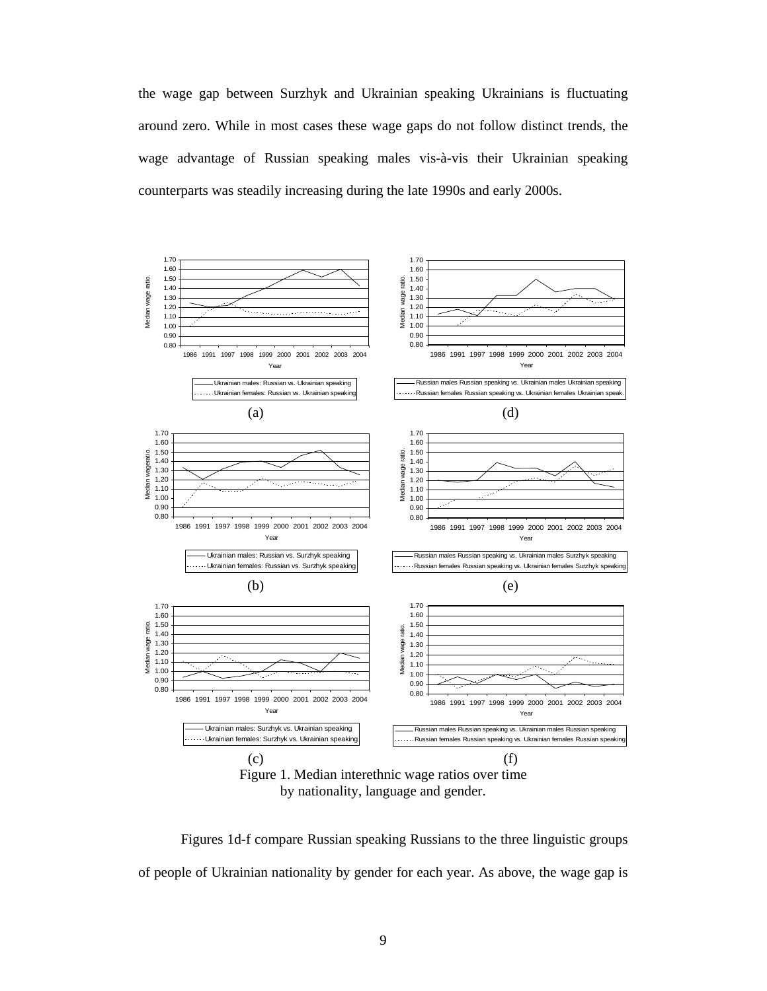the wage gap between Surzhyk and Ukrainian speaking Ukrainians is fluctuating around zero. While in most cases these wage gaps do not follow distinct trends, the wage advantage of Russian speaking males vis-à-vis their Ukrainian speaking counterparts was steadily increasing during the late 1990s and early 2000s.



by nationality, language and gender.

 Figures 1d-f compare Russian speaking Russians to the three linguistic groups of people of Ukrainian nationality by gender for each year. As above, the wage gap is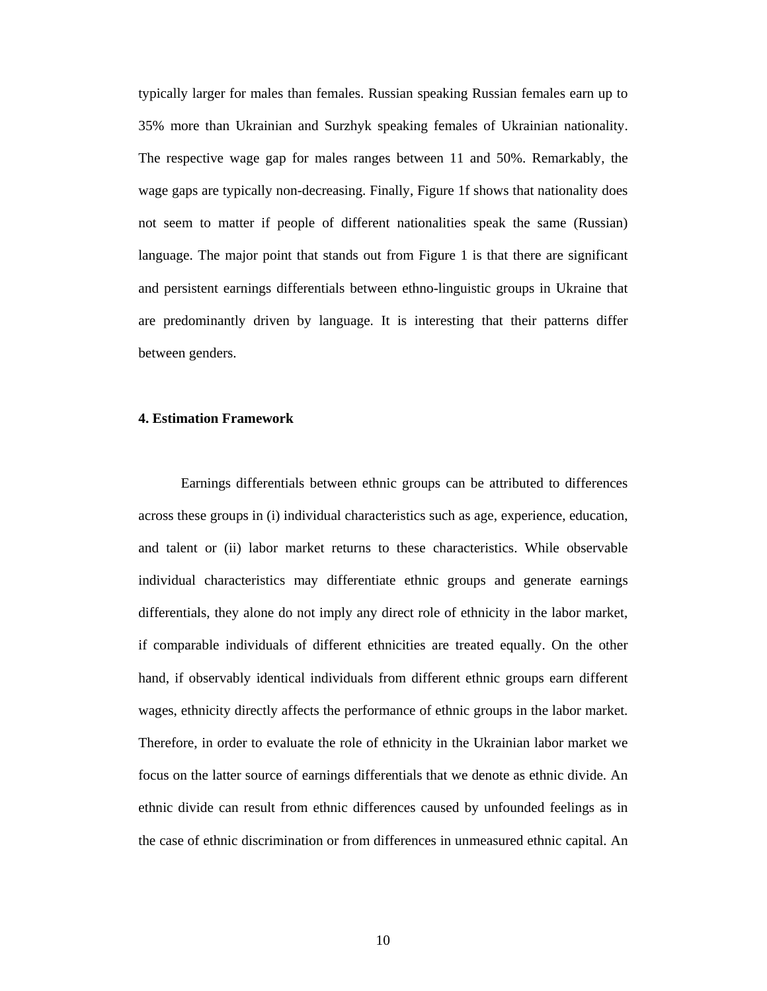typically larger for males than females. Russian speaking Russian females earn up to 35% more than Ukrainian and Surzhyk speaking females of Ukrainian nationality. The respective wage gap for males ranges between 11 and 50%. Remarkably, the wage gaps are typically non-decreasing. Finally, Figure 1f shows that nationality does not seem to matter if people of different nationalities speak the same (Russian) language. The major point that stands out from Figure 1 is that there are significant and persistent earnings differentials between ethno-linguistic groups in Ukraine that are predominantly driven by language. It is interesting that their patterns differ between genders.

#### **4. Estimation Framework**

 Earnings differentials between ethnic groups can be attributed to differences across these groups in (i) individual characteristics such as age, experience, education, and talent or (ii) labor market returns to these characteristics. While observable individual characteristics may differentiate ethnic groups and generate earnings differentials, they alone do not imply any direct role of ethnicity in the labor market, if comparable individuals of different ethnicities are treated equally. On the other hand, if observably identical individuals from different ethnic groups earn different wages, ethnicity directly affects the performance of ethnic groups in the labor market. Therefore, in order to evaluate the role of ethnicity in the Ukrainian labor market we focus on the latter source of earnings differentials that we denote as ethnic divide. An ethnic divide can result from ethnic differences caused by unfounded feelings as in the case of ethnic discrimination or from differences in unmeasured ethnic capital. An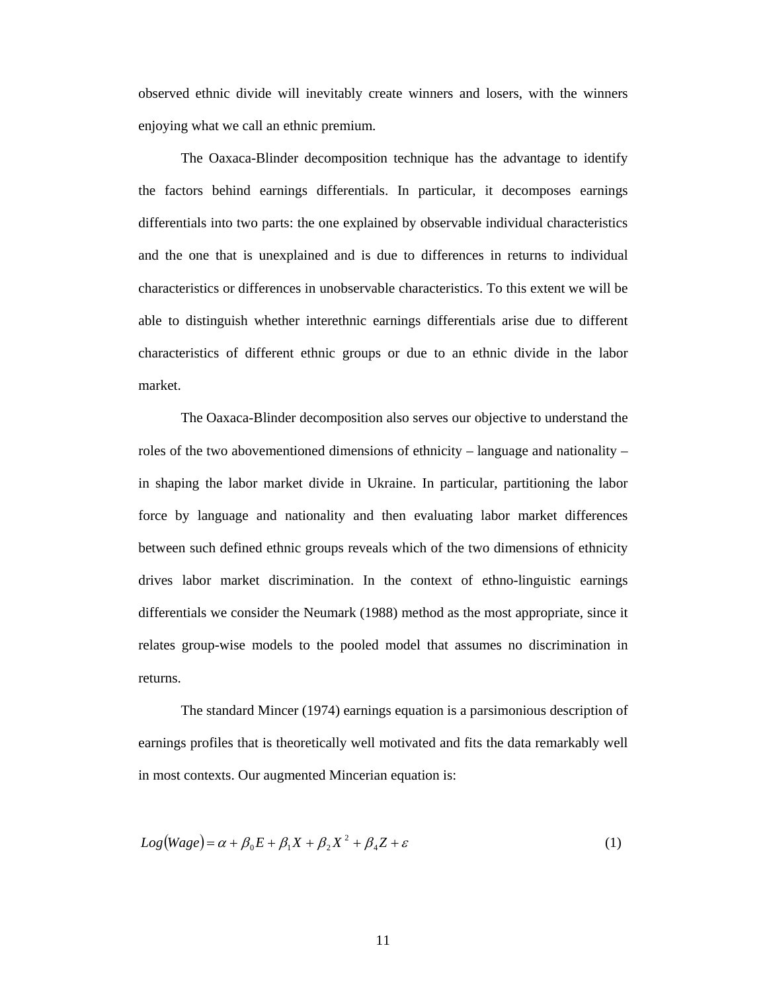observed ethnic divide will inevitably create winners and losers, with the winners enjoying what we call an ethnic premium.

 The Oaxaca-Blinder decomposition technique has the advantage to identify the factors behind earnings differentials. In particular, it decomposes earnings differentials into two parts: the one explained by observable individual characteristics and the one that is unexplained and is due to differences in returns to individual characteristics or differences in unobservable characteristics. To this extent we will be able to distinguish whether interethnic earnings differentials arise due to different characteristics of different ethnic groups or due to an ethnic divide in the labor market.

 The Oaxaca-Blinder decomposition also serves our objective to understand the roles of the two abovementioned dimensions of ethnicity – language and nationality – in shaping the labor market divide in Ukraine. In particular, partitioning the labor force by language and nationality and then evaluating labor market differences between such defined ethnic groups reveals which of the two dimensions of ethnicity drives labor market discrimination. In the context of ethno-linguistic earnings differentials we consider the Neumark (1988) method as the most appropriate, since it relates group-wise models to the pooled model that assumes no discrimination in returns.

 The standard Mincer (1974) earnings equation is a parsimonious description of earnings profiles that is theoretically well motivated and fits the data remarkably well in most contexts. Our augmented Mincerian equation is:

$$
Log(Wage) = \alpha + \beta_0 E + \beta_1 X + \beta_2 X^2 + \beta_4 Z + \varepsilon
$$
\n(1)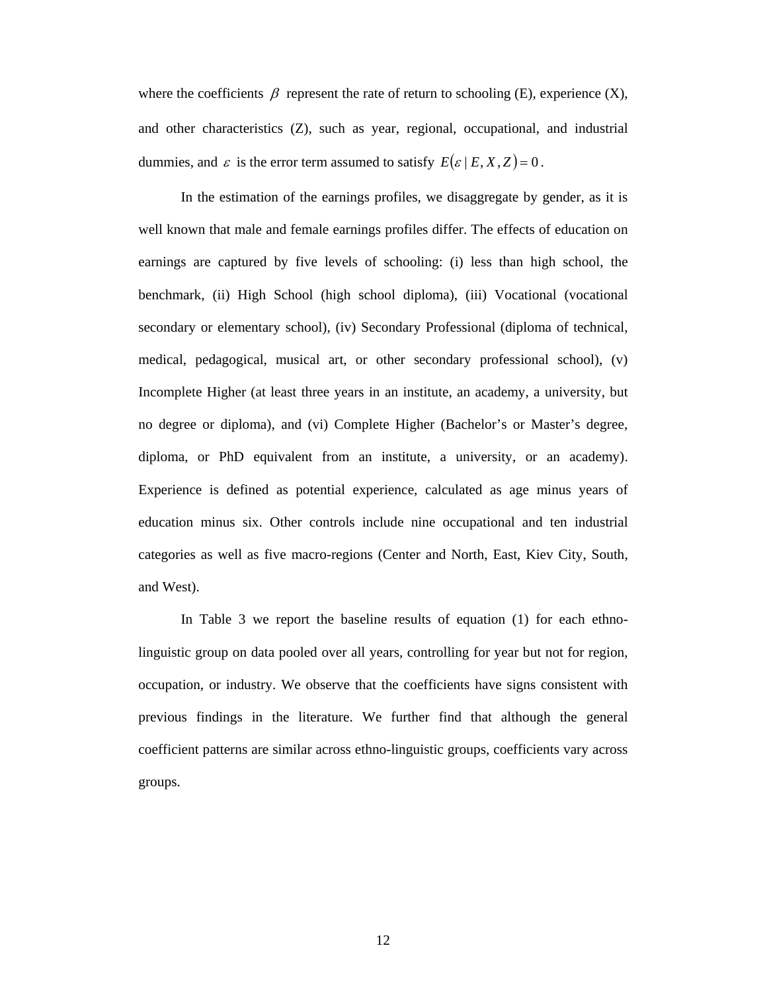where the coefficients  $\beta$  represent the rate of return to schooling (E), experience (X), and other characteristics (Z), such as year, regional, occupational, and industrial dummies, and  $\varepsilon$  is the error term assumed to satisfy  $E(\varepsilon | E, X, Z) = 0$ .

 In the estimation of the earnings profiles, we disaggregate by gender, as it is well known that male and female earnings profiles differ. The effects of education on earnings are captured by five levels of schooling: (i) less than high school, the benchmark, (ii) High School (high school diploma), (iii) Vocational (vocational secondary or elementary school), (iv) Secondary Professional (diploma of technical, medical, pedagogical, musical art, or other secondary professional school), (v) Incomplete Higher (at least three years in an institute, an academy, a university, but no degree or diploma), and (vi) Complete Higher (Bachelor's or Master's degree, diploma, or PhD equivalent from an institute, a university, or an academy). Experience is defined as potential experience, calculated as age minus years of education minus six. Other controls include nine occupational and ten industrial categories as well as five macro-regions (Center and North, East, Kiev City, South, and West).

 In Table 3 we report the baseline results of equation (1) for each ethnolinguistic group on data pooled over all years, controlling for year but not for region, occupation, or industry. We observe that the coefficients have signs consistent with previous findings in the literature. We further find that although the general coefficient patterns are similar across ethno-linguistic groups, coefficients vary across groups.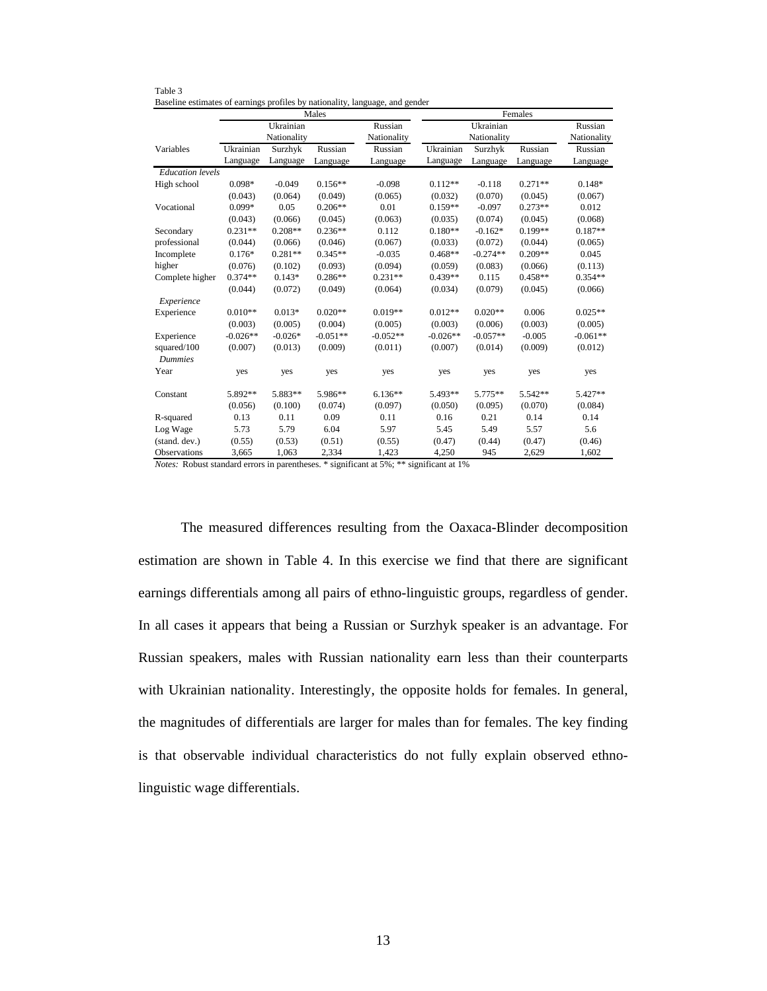|                         |            |             | Males      |             |            |             | Females   |             |
|-------------------------|------------|-------------|------------|-------------|------------|-------------|-----------|-------------|
|                         |            | Ukrainian   |            | Russian     |            | Ukrainian   |           | Russian     |
|                         |            | Nationality |            | Nationality |            | Nationality |           | Nationality |
| Variables               | Ukrainian  | Surzhyk     | Russian    | Russian     | Ukrainian  | Surzhyk     | Russian   | Russian     |
|                         | Language   | Language    | Language   | Language    | Language   | Language    | Language  | Language    |
| <b>Education</b> levels |            |             |            |             |            |             |           |             |
| High school             | $0.098*$   | $-0.049$    | $0.156**$  | $-0.098$    | $0.112**$  | $-0.118$    | $0.271**$ | $0.148*$    |
|                         | (0.043)    | (0.064)     | (0.049)    | (0.065)     | (0.032)    | (0.070)     | (0.045)   | (0.067)     |
| Vocational              | $0.099*$   | 0.05        | $0.206**$  | 0.01        | $0.159**$  | $-0.097$    | $0.273**$ | 0.012       |
|                         | (0.043)    | (0.066)     | (0.045)    | (0.063)     | (0.035)    | (0.074)     | (0.045)   | (0.068)     |
| Secondary               | $0.231**$  | $0.208**$   | $0.236**$  | 0.112       | $0.180**$  | $-0.162*$   | $0.199**$ | $0.187**$   |
| professional            | (0.044)    | (0.066)     | (0.046)    | (0.067)     | (0.033)    | (0.072)     | (0.044)   | (0.065)     |
| Incomplete              | $0.176*$   | $0.281**$   | $0.345**$  | $-0.035$    | $0.468**$  | $-0.274**$  | $0.209**$ | 0.045       |
| higher                  | (0.076)    | (0.102)     | (0.093)    | (0.094)     | (0.059)    | (0.083)     | (0.066)   | (0.113)     |
| Complete higher         | $0.374**$  | $0.143*$    | $0.286**$  | $0.231**$   | $0.439**$  | 0.115       | $0.458**$ | $0.354**$   |
|                         | (0.044)    | (0.072)     | (0.049)    | (0.064)     | (0.034)    | (0.079)     | (0.045)   | (0.066)     |
| Experience              |            |             |            |             |            |             |           |             |
| Experience              | $0.010**$  | $0.013*$    | $0.020**$  | $0.019**$   | $0.012**$  | $0.020**$   | 0.006     | $0.025**$   |
|                         | (0.003)    | (0.005)     | (0.004)    | (0.005)     | (0.003)    | (0.006)     | (0.003)   | (0.005)     |
| Experience              | $-0.026**$ | $-0.026*$   | $-0.051**$ | $-0.052**$  | $-0.026**$ | $-0.057**$  | $-0.005$  | $-0.061**$  |
| squared/100             | (0.007)    | (0.013)     | (0.009)    | (0.011)     | (0.007)    | (0.014)     | (0.009)   | (0.012)     |
| <b>Dummies</b>          |            |             |            |             |            |             |           |             |
| Year                    | yes        | yes         | yes        | yes         | yes        | yes         | yes       | yes         |
| Constant                | 5.892**    | 5.883**     | 5.986**    | $6.136**$   | 5.493**    | $5.775**$   | 5.542**   | $5.427**$   |
|                         | (0.056)    | (0.100)     | (0.074)    | (0.097)     | (0.050)    | (0.095)     | (0.070)   | (0.084)     |
| R-squared               | 0.13       | 0.11        | 0.09       | 0.11        | 0.16       | 0.21        | 0.14      | 0.14        |
| Log Wage                | 5.73       | 5.79        | 6.04       | 5.97        | 5.45       | 5.49        | 5.57      | 5.6         |
| (stand. dev.)           | (0.55)     | (0.53)      | (0.51)     | (0.55)      | (0.47)     | (0.44)      | (0.47)    | (0.46)      |
| Observations            | 3,665      | 1,063       | 2,334      | 1.423       | 4,250      | 945         | 2.629     | 1.602       |

Table 3 Baseline estimates of earnings profiles by nationality, language, and gender

*Notes:* Robust standard errors in parentheses. \* significant at 5%; \*\* significant at 1%

The measured differences resulting from the Oaxaca-Blinder decomposition estimation are shown in Table 4. In this exercise we find that there are significant earnings differentials among all pairs of ethno-linguistic groups, regardless of gender. In all cases it appears that being a Russian or Surzhyk speaker is an advantage. For Russian speakers, males with Russian nationality earn less than their counterparts with Ukrainian nationality. Interestingly, the opposite holds for females. In general, the magnitudes of differentials are larger for males than for females. The key finding is that observable individual characteristics do not fully explain observed ethnolinguistic wage differentials.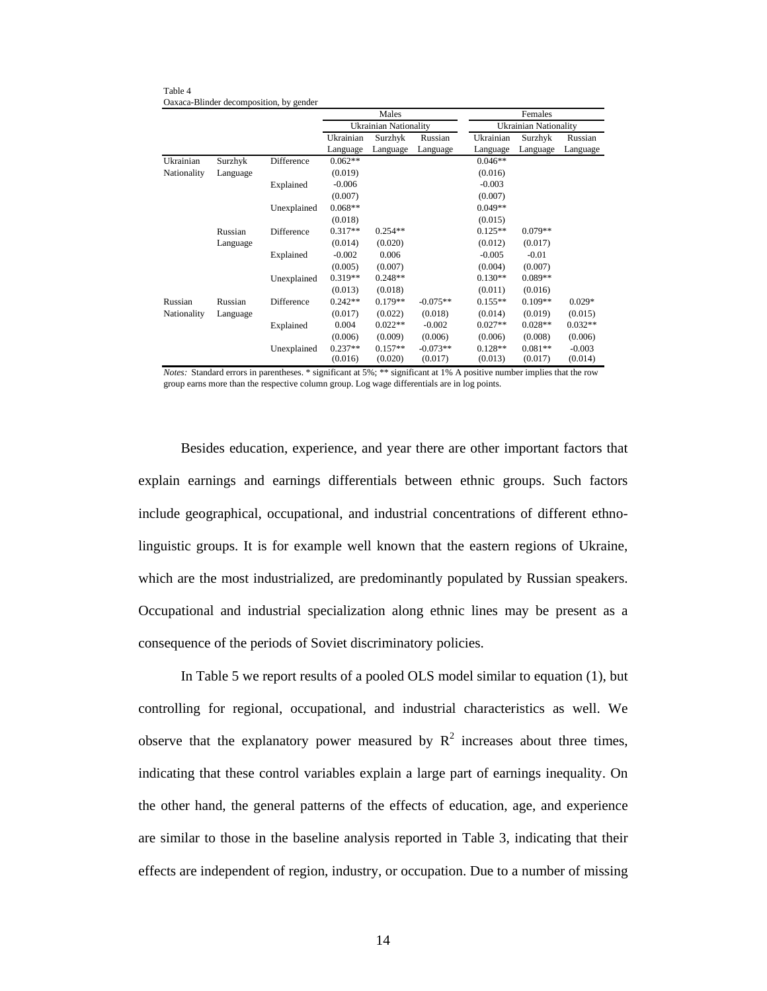Table 4 Oaxaca-Blinder decomposition, by gender

|             |          |             |           | Males                 |            |           | Females                      |           |
|-------------|----------|-------------|-----------|-----------------------|------------|-----------|------------------------------|-----------|
|             |          |             |           | Ukrainian Nationality |            |           | <b>Ukrainian Nationality</b> |           |
|             |          |             | Ukrainian | Surzhyk               | Russian    | Ukrainian | Surzhyk                      | Russian   |
|             |          |             | Language  | Language              | Language   | Language  | Language                     | Language  |
| Ukrainian   | Surzhyk  | Difference  | $0.062**$ |                       |            | $0.046**$ |                              |           |
| Nationality | Language |             | (0.019)   |                       |            | (0.016)   |                              |           |
|             |          | Explained   | $-0.006$  |                       |            | $-0.003$  |                              |           |
|             |          |             | (0.007)   |                       |            | (0.007)   |                              |           |
|             |          | Unexplained | $0.068**$ |                       |            | $0.049**$ |                              |           |
|             |          |             | (0.018)   |                       |            | (0.015)   |                              |           |
|             | Russian  | Difference  | $0.317**$ | $0.254**$             |            | $0.125**$ | $0.079**$                    |           |
|             | Language |             | (0.014)   | (0.020)               |            | (0.012)   | (0.017)                      |           |
|             |          | Explained   | $-0.002$  | 0.006                 |            | $-0.005$  | $-0.01$                      |           |
|             |          |             | (0.005)   | (0.007)               |            | (0.004)   | (0.007)                      |           |
|             |          | Unexplained | $0.319**$ | $0.248**$             |            | $0.130**$ | $0.089**$                    |           |
|             |          |             | (0.013)   | (0.018)               |            | (0.011)   | (0.016)                      |           |
| Russian     | Russian  | Difference  | $0.242**$ | $0.179**$             | $-0.075**$ | $0.155**$ | $0.109**$                    | $0.029*$  |
| Nationality | Language |             | (0.017)   | (0.022)               | (0.018)    | (0.014)   | (0.019)                      | (0.015)   |
|             |          | Explained   | 0.004     | $0.022**$             | $-0.002$   | $0.027**$ | $0.028**$                    | $0.032**$ |
|             |          |             | (0.006)   | (0.009)               | (0.006)    | (0.006)   | (0.008)                      | (0.006)   |
|             |          | Unexplained | $0.237**$ | $0.157**$             | $-0.073**$ | $0.128**$ | $0.081**$                    | $-0.003$  |
|             |          |             | (0.016)   | (0.020)               | (0.017)    | (0.013)   | (0.017)                      | (0.014)   |

*Notes:* Standard errors in parentheses. \* significant at 5%; \*\* significant at 1% A positive number implies that the row group earns more than the respective column group. Log wage differentials are in log points.

 Besides education, experience, and year there are other important factors that explain earnings and earnings differentials between ethnic groups. Such factors include geographical, occupational, and industrial concentrations of different ethnolinguistic groups. It is for example well known that the eastern regions of Ukraine, which are the most industrialized, are predominantly populated by Russian speakers. Occupational and industrial specialization along ethnic lines may be present as a consequence of the periods of Soviet discriminatory policies.

In Table 5 we report results of a pooled OLS model similar to equation (1), but controlling for regional, occupational, and industrial characteristics as well. We observe that the explanatory power measured by  $R^2$  increases about three times, indicating that these control variables explain a large part of earnings inequality. On the other hand, the general patterns of the effects of education, age, and experience are similar to those in the baseline analysis reported in Table 3, indicating that their effects are independent of region, industry, or occupation. Due to a number of missing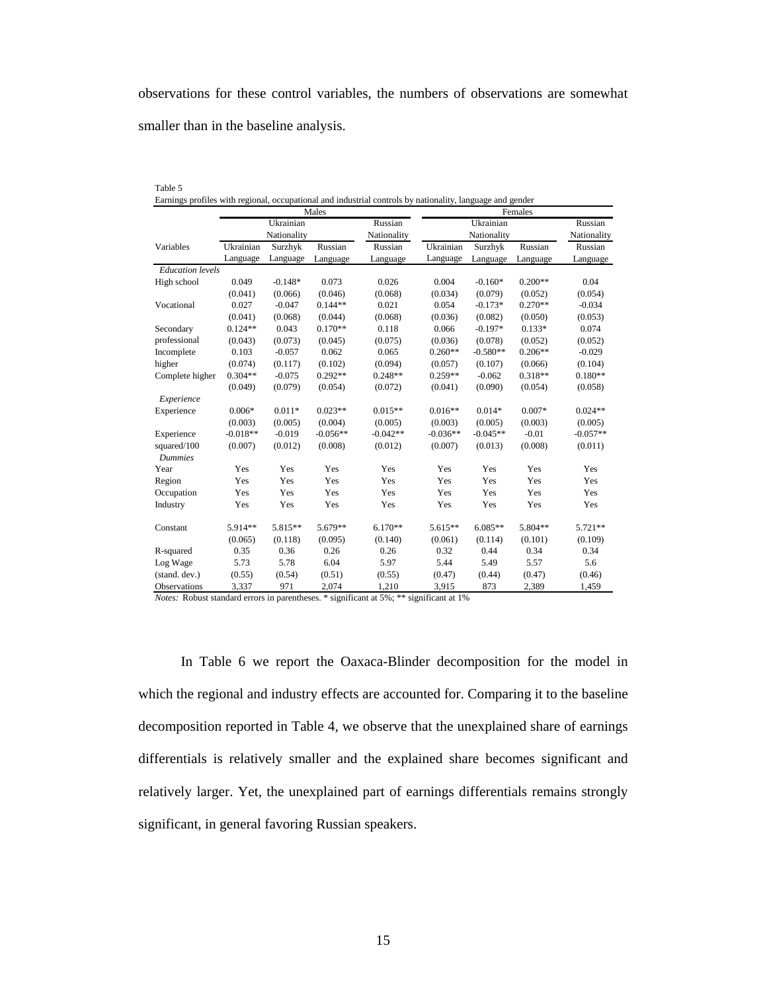observations for these control variables, the numbers of observations are somewhat smaller than in the baseline analysis.

|--|--|

|  |  | Earnings profiles with regional, occupational and industrial controls by nationality, language and gender |  |  |  |  |
|--|--|-----------------------------------------------------------------------------------------------------------|--|--|--|--|
|  |  |                                                                                                           |  |  |  |  |
|  |  |                                                                                                           |  |  |  |  |
|  |  |                                                                                                           |  |  |  |  |

|                         |            |             | Males      |             | Females    |             |           |             |  |  |
|-------------------------|------------|-------------|------------|-------------|------------|-------------|-----------|-------------|--|--|
|                         |            | Ukrainian   |            | Russian     |            | Ukrainian   |           |             |  |  |
|                         |            | Nationality |            | Nationality |            | Nationality |           | Nationality |  |  |
| Variables               | Ukrainian  | Surzhyk     | Russian    | Russian     | Ukrainian  | Surzhyk     | Russian   | Russian     |  |  |
|                         | Language   | Language    | Language   | Language    | Language   | Language    | Language  | Language    |  |  |
| <b>Education</b> levels |            |             |            |             |            |             |           |             |  |  |
| High school             | 0.049      | $-0.148*$   | 0.073      | 0.026       | 0.004      | $-0.160*$   | $0.200**$ | 0.04        |  |  |
|                         | (0.041)    | (0.066)     | (0.046)    | (0.068)     | (0.034)    | (0.079)     | (0.052)   | (0.054)     |  |  |
| Vocational              | 0.027      | $-0.047$    | $0.144**$  | 0.021       | 0.054      | $-0.173*$   | $0.270**$ | $-0.034$    |  |  |
|                         | (0.041)    | (0.068)     | (0.044)    | (0.068)     | (0.036)    | (0.082)     | (0.050)   | (0.053)     |  |  |
| Secondary               | $0.124**$  | 0.043       | $0.170**$  | 0.118       | 0.066      | $-0.197*$   | $0.133*$  | 0.074       |  |  |
| professional            | (0.043)    | (0.073)     | (0.045)    | (0.075)     | (0.036)    | (0.078)     | (0.052)   | (0.052)     |  |  |
| Incomplete              | 0.103      | $-0.057$    | 0.062      | 0.065       | $0.260**$  | $-0.580**$  | $0.206**$ | $-0.029$    |  |  |
| higher                  | (0.074)    | (0.117)     | (0.102)    | (0.094)     | (0.057)    | (0.107)     | (0.066)   | (0.104)     |  |  |
| Complete higher         | $0.304**$  | $-0.075$    | $0.292**$  | $0.248**$   | $0.259**$  | $-0.062$    | $0.318**$ | $0.180**$   |  |  |
|                         | (0.049)    | (0.079)     | (0.054)    | (0.072)     | (0.041)    | (0.090)     | (0.054)   | (0.058)     |  |  |
| Experience              |            |             |            |             |            |             |           |             |  |  |
| Experience              | $0.006*$   | $0.011*$    | $0.023**$  | $0.015**$   | $0.016**$  | $0.014*$    | $0.007*$  | $0.024**$   |  |  |
|                         | (0.003)    | (0.005)     | (0.004)    | (0.005)     | (0.003)    | (0.005)     | (0.003)   | (0.005)     |  |  |
| Experience              | $-0.018**$ | $-0.019$    | $-0.056**$ | $-0.042**$  | $-0.036**$ | $-0.045**$  | $-0.01$   | $-0.057**$  |  |  |
| squared/100             | (0.007)    | (0.012)     | (0.008)    | (0.012)     | (0.007)    | (0.013)     | (0.008)   | (0.011)     |  |  |
| <b>Dummies</b>          |            |             |            |             |            |             |           |             |  |  |
| Year                    | Yes        | Yes         | Yes        | Yes         | Yes        | Yes         | Yes       | Yes         |  |  |
| Region                  | Yes        | Yes         | Yes        | Yes         | Yes        | Yes         | Yes       | Yes         |  |  |
| Occupation              | Yes        | Yes         | Yes        | Yes         | Yes        | Yes         | Yes       | Yes         |  |  |
| Industry                | Yes        | Yes         | Yes        | Yes         | Yes        | Yes         | Yes       | Yes         |  |  |
|                         |            |             |            |             |            |             |           |             |  |  |
| Constant                | 5.914**    | 5.815**     | $5.679**$  | $6.170**$   | $5.615**$  | $6.085**$   | 5.804**   | $5.721**$   |  |  |
|                         | (0.065)    | (0.118)     | (0.095)    | (0.140)     | (0.061)    | (0.114)     | (0.101)   | (0.109)     |  |  |
| R-squared               | 0.35       | 0.36        | 0.26       | 0.26        | 0.32       | 0.44        | 0.34      | 0.34        |  |  |
| Log Wage                | 5.73       | 5.78        | 6.04       | 5.97        | 5.44       | 5.49        | 5.57      | 5.6         |  |  |
| (stand. dev.)           | (0.55)     | (0.54)      | (0.51)     | (0.55)      | (0.47)     | (0.44)      | (0.47)    | (0.46)      |  |  |
| Observations            | 3,337      | 971         | 2,074      | 1,210       | 3,915      | 873         | 2,389     | 1,459       |  |  |

*Notes:* Robust standard errors in parentheses. \* significant at 5%; \*\* significant at 1%

In Table 6 we report the Oaxaca-Blinder decomposition for the model in which the regional and industry effects are accounted for. Comparing it to the baseline decomposition reported in Table 4, we observe that the unexplained share of earnings differentials is relatively smaller and the explained share becomes significant and relatively larger. Yet, the unexplained part of earnings differentials remains strongly significant, in general favoring Russian speakers.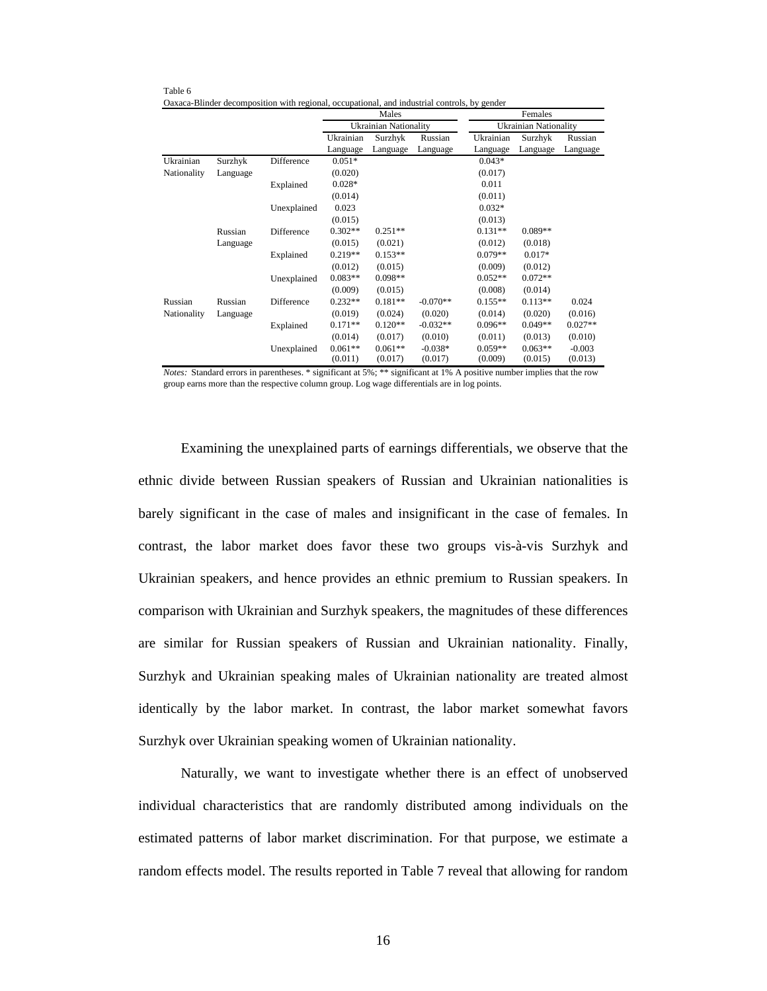| Table 6                                                                                      |         |
|----------------------------------------------------------------------------------------------|---------|
| Oaxaca-Blinder decomposition with regional, occupational, and industrial controls, by gender |         |
| Males                                                                                        | Females |

|             |          |             |           | <b>NIMES</b>          |            | <b>Felliales</b> |                       |           |  |
|-------------|----------|-------------|-----------|-----------------------|------------|------------------|-----------------------|-----------|--|
|             |          |             |           | Ukrainian Nationality |            |                  | Ukrainian Nationality |           |  |
|             |          |             | Ukrainian | Surzhyk               | Russian    | Ukrainian        | Surzhyk               | Russian   |  |
|             |          |             | Language  | Language              | Language   | Language         | Language              | Language  |  |
| Ukrainian   | Surzhyk  | Difference  | $0.051*$  |                       |            | $0.043*$         |                       |           |  |
| Nationality | Language |             | (0.020)   |                       |            | (0.017)          |                       |           |  |
|             |          | Explained   | $0.028*$  |                       |            | 0.011            |                       |           |  |
|             |          |             | (0.014)   |                       |            | (0.011)          |                       |           |  |
|             |          | Unexplained | 0.023     |                       |            | $0.032*$         |                       |           |  |
|             |          |             | (0.015)   |                       |            | (0.013)          |                       |           |  |
|             | Russian  | Difference  | $0.302**$ | $0.251**$             |            | $0.131**$        | $0.089**$             |           |  |
|             | Language |             | (0.015)   | (0.021)               |            | (0.012)          | (0.018)               |           |  |
|             |          | Explained   | $0.219**$ | $0.153**$             |            | $0.079**$        | $0.017*$              |           |  |
|             |          |             | (0.012)   | (0.015)               |            | (0.009)          | (0.012)               |           |  |
|             |          | Unexplained | $0.083**$ | $0.098**$             |            | $0.052**$        | $0.072**$             |           |  |
|             |          |             | (0.009)   | (0.015)               |            | (0.008)          | (0.014)               |           |  |
| Russian     | Russian  | Difference  | $0.232**$ | $0.181**$             | $-0.070**$ | $0.155**$        | $0.113**$             | 0.024     |  |
| Nationality | Language |             | (0.019)   | (0.024)               | (0.020)    | (0.014)          | (0.020)               | (0.016)   |  |
|             |          | Explained   | $0.171**$ | $0.120**$             | $-0.032**$ | $0.096**$        | $0.049**$             | $0.027**$ |  |
|             |          |             | (0.014)   | (0.017)               | (0.010)    | (0.011)          | (0.013)               | (0.010)   |  |
|             |          | Unexplained | $0.061**$ | $0.061**$             | $-0.038*$  | $0.059**$        | $0.063**$             | $-0.003$  |  |
|             |          |             | (0.011)   | (0.017)               | (0.017)    | (0.009)          | (0.015)               | (0.013)   |  |

*Notes:* Standard errors in parentheses. \* significant at 5%; \*\* significant at 1% A positive number implies that the row group earns more than the respective column group. Log wage differentials are in log points.

 Examining the unexplained parts of earnings differentials, we observe that the ethnic divide between Russian speakers of Russian and Ukrainian nationalities is barely significant in the case of males and insignificant in the case of females. In contrast, the labor market does favor these two groups vis-à-vis Surzhyk and Ukrainian speakers, and hence provides an ethnic premium to Russian speakers. In comparison with Ukrainian and Surzhyk speakers, the magnitudes of these differences are similar for Russian speakers of Russian and Ukrainian nationality. Finally, Surzhyk and Ukrainian speaking males of Ukrainian nationality are treated almost identically by the labor market. In contrast, the labor market somewhat favors Surzhyk over Ukrainian speaking women of Ukrainian nationality.

 Naturally, we want to investigate whether there is an effect of unobserved individual characteristics that are randomly distributed among individuals on the estimated patterns of labor market discrimination. For that purpose, we estimate a random effects model. The results reported in Table 7 reveal that allowing for random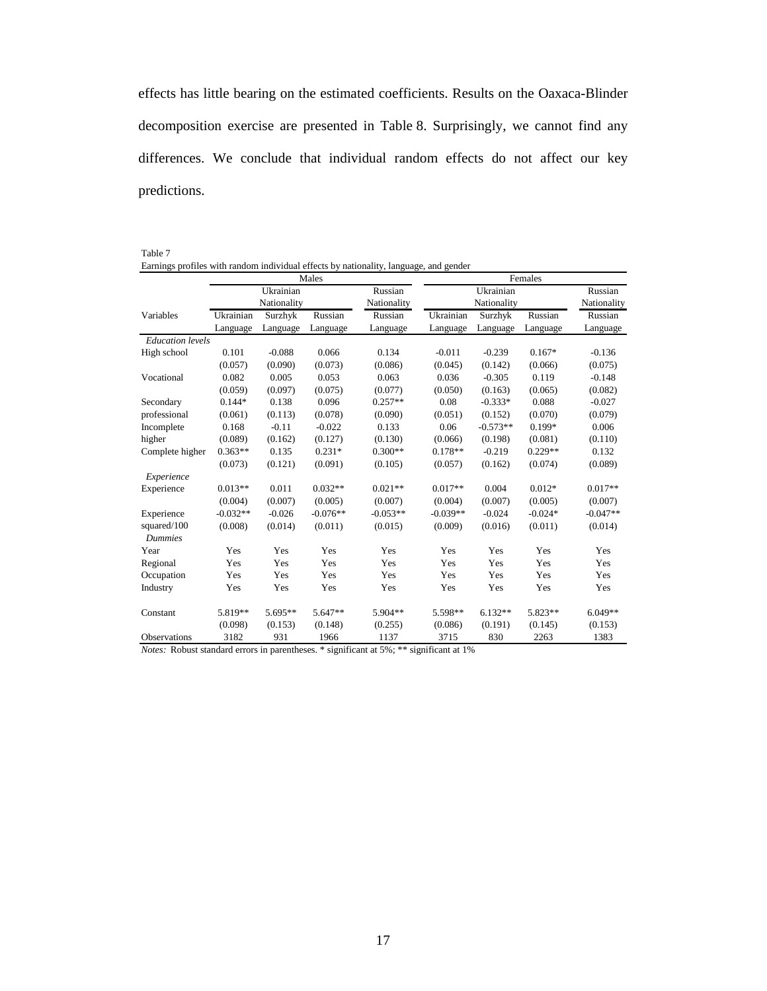effects has little bearing on the estimated coefficients. Results on the Oaxaca-Blinder decomposition exercise are presented in Table 8. Surprisingly, we cannot find any differences. We conclude that individual random effects do not affect our key predictions.

Table 7

|  |  |  | Earnings profiles with random individual effects by nationality, language, and gender |  |  |
|--|--|--|---------------------------------------------------------------------------------------|--|--|
|  |  |  |                                                                                       |  |  |
|  |  |  |                                                                                       |  |  |

|                         |            |             | Males      |             | Females    |             |           |             |  |  |
|-------------------------|------------|-------------|------------|-------------|------------|-------------|-----------|-------------|--|--|
|                         |            | Ukrainian   |            | Russian     |            | Russian     |           |             |  |  |
|                         |            | Nationality |            | Nationality |            | Nationality |           | Nationality |  |  |
| Variables               | Ukrainian  | Surzhyk     | Russian    | Russian     | Ukrainian  | Surzhyk     | Russian   | Russian     |  |  |
|                         | Language   | Language    | Language   | Language    | Language   | Language    | Language  | Language    |  |  |
| <b>Education</b> levels |            |             |            |             |            |             |           |             |  |  |
| High school             | 0.101      | $-0.088$    | 0.066      | 0.134       | $-0.011$   | $-0.239$    | $0.167*$  | $-0.136$    |  |  |
|                         | (0.057)    | (0.090)     | (0.073)    | (0.086)     | (0.045)    | (0.142)     | (0.066)   | (0.075)     |  |  |
| Vocational              | 0.082      | 0.005       | 0.053      | 0.063       | 0.036      | $-0.305$    | 0.119     | $-0.148$    |  |  |
|                         | (0.059)    | (0.097)     | (0.075)    | (0.077)     | (0.050)    | (0.163)     | (0.065)   | (0.082)     |  |  |
| Secondary               | $0.144*$   | 0.138       | 0.096      | $0.257**$   | 0.08       | $-0.333*$   | 0.088     | $-0.027$    |  |  |
| professional            | (0.061)    | (0.113)     | (0.078)    | (0.090)     | (0.051)    | (0.152)     | (0.070)   | (0.079)     |  |  |
| Incomplete              | 0.168      | $-0.11$     | $-0.022$   | 0.133       | 0.06       | $-0.573**$  | $0.199*$  | 0.006       |  |  |
| higher                  | (0.089)    | (0.162)     | (0.127)    | (0.130)     | (0.066)    | (0.198)     | (0.081)   | (0.110)     |  |  |
| Complete higher         | $0.363**$  | 0.135       | $0.231*$   | $0.300**$   | $0.178**$  | $-0.219$    | $0.229**$ | 0.132       |  |  |
|                         | (0.073)    | (0.121)     | (0.091)    | (0.105)     | (0.057)    | (0.162)     | (0.074)   | (0.089)     |  |  |
| Experience              |            |             |            |             |            |             |           |             |  |  |
| Experience              | $0.013**$  | 0.011       | $0.032**$  | $0.021**$   | $0.017**$  | 0.004       | $0.012*$  | $0.017**$   |  |  |
|                         | (0.004)    | (0.007)     | (0.005)    | (0.007)     | (0.004)    | (0.007)     | (0.005)   | (0.007)     |  |  |
| Experience              | $-0.032**$ | $-0.026$    | $-0.076**$ | $-0.053**$  | $-0.039**$ | $-0.024$    | $-0.024*$ | $-0.047**$  |  |  |
| squared/100             | (0.008)    | (0.014)     | (0.011)    | (0.015)     | (0.009)    | (0.016)     | (0.011)   | (0.014)     |  |  |
| <b>Dummies</b>          |            |             |            |             |            |             |           |             |  |  |
| Year                    | Yes        | Yes         | Yes        | Yes         | Yes        | Yes         | Yes       | Yes         |  |  |
| Regional                | Yes        | Yes         | Yes        | Yes         | Yes        | Yes         | Yes       | Yes         |  |  |
| Occupation              | Yes        | Yes         | Yes        | Yes         | Yes        | Yes         | Yes       | Yes         |  |  |
| Industry                | Yes        | Yes         | Yes        | Yes         | Yes        | Yes         | Yes       | Yes         |  |  |
| Constant                | 5.819**    | 5.695**     | $5.647**$  | 5.904**     | 5.598**    | $6.132**$   | 5.823**   | $6.049**$   |  |  |
|                         | (0.098)    | (0.153)     | (0.148)    | (0.255)     | (0.086)    | (0.191)     | (0.145)   | (0.153)     |  |  |
| <b>Observations</b>     | 3182       | 931         | 1966       | 1137        | 3715       | 830         | 2263      | 1383        |  |  |

*Notes:* Robust standard errors in parentheses. \* significant at 5%; \*\* significant at 1%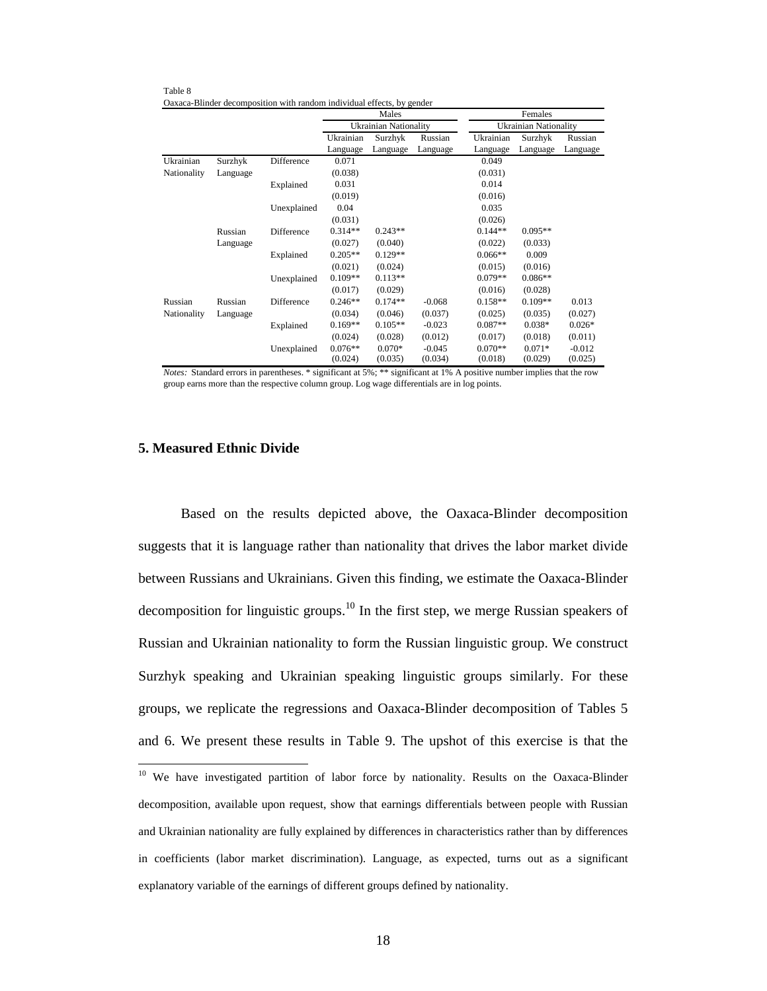|             |          |             |           | Males                 |          |           | Females                      |          |
|-------------|----------|-------------|-----------|-----------------------|----------|-----------|------------------------------|----------|
|             |          |             |           | Ukrainian Nationality |          |           | <b>Ukrainian Nationality</b> |          |
|             |          |             | Ukrainian | Surzhyk               | Russian  | Ukrainian | Surzhyk                      | Russian  |
|             |          |             | Language  | Language              | Language | Language  | Language                     | Language |
| Ukrainian   | Surzhyk  | Difference  | 0.071     |                       |          | 0.049     |                              |          |
| Nationality | Language |             | (0.038)   |                       |          | (0.031)   |                              |          |
|             |          | Explained   | 0.031     |                       |          | 0.014     |                              |          |
|             |          |             | (0.019)   |                       |          | (0.016)   |                              |          |
|             |          | Unexplained | 0.04      |                       |          | 0.035     |                              |          |
|             |          |             | (0.031)   |                       |          | (0.026)   |                              |          |
|             | Russian  | Difference  | $0.314**$ | $0.243**$             |          | $0.144**$ | $0.095**$                    |          |
|             | Language |             | (0.027)   | (0.040)               |          | (0.022)   | (0.033)                      |          |
|             |          | Explained   | $0.205**$ | $0.129**$             |          | $0.066**$ | 0.009                        |          |
|             |          |             | (0.021)   | (0.024)               |          | (0.015)   | (0.016)                      |          |
|             |          | Unexplained | $0.109**$ | $0.113**$             |          | $0.079**$ | $0.086**$                    |          |
|             |          |             | (0.017)   | (0.029)               |          | (0.016)   | (0.028)                      |          |
| Russian     | Russian  | Difference  | $0.246**$ | $0.174**$             | $-0.068$ | $0.158**$ | $0.109**$                    | 0.013    |
| Nationality | Language |             | (0.034)   | (0.046)               | (0.037)  | (0.025)   | (0.035)                      | (0.027)  |
|             |          | Explained   | $0.169**$ | $0.105**$             | $-0.023$ | $0.087**$ | $0.038*$                     | $0.026*$ |
|             |          |             | (0.024)   | (0.028)               | (0.012)  | (0.017)   | (0.018)                      | (0.011)  |
|             |          | Unexplained | $0.076**$ | $0.070*$              | $-0.045$ | $0.070**$ | $0.071*$                     | $-0.012$ |
|             |          |             | (0.024)   | (0.035)               | (0.034)  | (0.018)   | (0.029)                      | (0.025)  |

Table 8 Oaxaca-Blinder decomposition with random individual effects, by gender

*Notes:* Standard errors in parentheses. \* significant at 5%; \*\* significant at 1% A positive number implies that the row group earns more than the respective column group. Log wage differentials are in log points.

#### **5. Measured Ethnic Divide**

 $\overline{a}$ 

 Based on the results depicted above, the Oaxaca-Blinder decomposition suggests that it is language rather than nationality that drives the labor market divide between Russians and Ukrainians. Given this finding, we estimate the Oaxaca-Blinder decomposition for linguistic groups.<sup>10</sup> In the first step, we merge Russian speakers of Russian and Ukrainian nationality to form the Russian linguistic group. We construct Surzhyk speaking and Ukrainian speaking linguistic groups similarly. For these groups, we replicate the regressions and Oaxaca-Blinder decomposition of Tables 5 and 6. We present these results in Table 9. The upshot of this exercise is that the

<sup>&</sup>lt;sup>10</sup> We have investigated partition of labor force by nationality. Results on the Oaxaca-Blinder decomposition, available upon request, show that earnings differentials between people with Russian and Ukrainian nationality are fully explained by differences in characteristics rather than by differences in coefficients (labor market discrimination). Language, as expected, turns out as a significant explanatory variable of the earnings of different groups defined by nationality.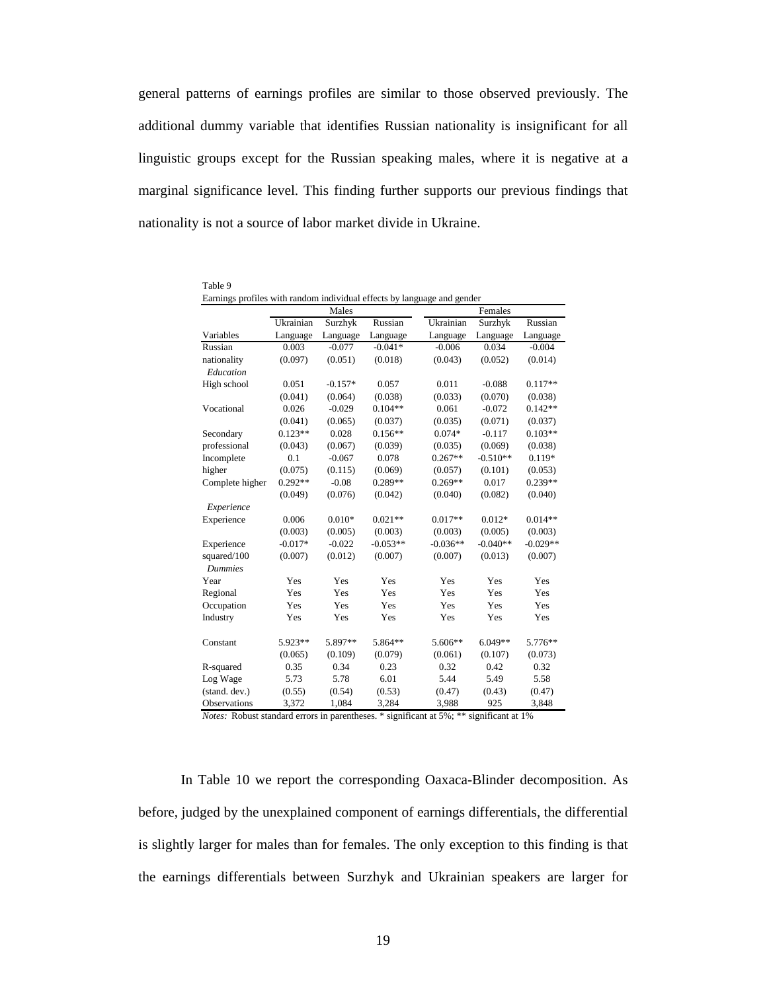general patterns of earnings profiles are similar to those observed previously. The additional dummy variable that identifies Russian nationality is insignificant for all linguistic groups except for the Russian speaking males, where it is negative at a marginal significance level. This finding further supports our previous findings that nationality is not a source of labor market divide in Ukraine.

| Earnings profiles with random individual effects by language and gender |           |           |            |            |            |            |  |  |  |
|-------------------------------------------------------------------------|-----------|-----------|------------|------------|------------|------------|--|--|--|
|                                                                         | Males     |           |            | Females    |            |            |  |  |  |
|                                                                         | Ukrainian | Surzhyk   | Russian    | Ukrainian  | Surzhyk    | Russian    |  |  |  |
| Variables                                                               | Language  | Language  | Language   | Language   | Language   | Language   |  |  |  |
| Russian                                                                 | 0.003     | $-0.077$  | $-0.041*$  | $-0.006$   | 0.034      | $-0.004$   |  |  |  |
| nationality                                                             | (0.097)   | (0.051)   | (0.018)    | (0.043)    | (0.052)    | (0.014)    |  |  |  |
| Education                                                               |           |           |            |            |            |            |  |  |  |
| High school                                                             | 0.051     | $-0.157*$ | 0.057      | 0.011      | $-0.088$   | $0.117**$  |  |  |  |
|                                                                         | (0.041)   | (0.064)   | (0.038)    | (0.033)    | (0.070)    | (0.038)    |  |  |  |
| Vocational                                                              | 0.026     | $-0.029$  | $0.104**$  | 0.061      | $-0.072$   | $0.142**$  |  |  |  |
|                                                                         | (0.041)   | (0.065)   | (0.037)    | (0.035)    | (0.071)    | (0.037)    |  |  |  |
| Secondary                                                               | $0.123**$ | 0.028     | $0.156**$  | $0.074*$   | $-0.117$   | $0.103**$  |  |  |  |
| professional                                                            | (0.043)   | (0.067)   | (0.039)    | (0.035)    | (0.069)    | (0.038)    |  |  |  |
| Incomplete                                                              | 0.1       | $-0.067$  | 0.078      | $0.267**$  | $-0.510**$ | $0.119*$   |  |  |  |
| higher                                                                  | (0.075)   | (0.115)   | (0.069)    | (0.057)    | (0.101)    | (0.053)    |  |  |  |
| Complete higher                                                         | $0.292**$ | $-0.08$   | $0.289**$  | $0.269**$  | 0.017      | $0.239**$  |  |  |  |
|                                                                         | (0.049)   | (0.076)   | (0.042)    | (0.040)    | (0.082)    | (0.040)    |  |  |  |
| Experience                                                              |           |           |            |            |            |            |  |  |  |
| Experience                                                              | 0.006     | $0.010*$  | $0.021**$  | $0.017**$  | $0.012*$   | $0.014**$  |  |  |  |
|                                                                         | (0.003)   | (0.005)   | (0.003)    | (0.003)    | (0.005)    | (0.003)    |  |  |  |
| Experience                                                              | $-0.017*$ | $-0.022$  | $-0.053**$ | $-0.036**$ | $-0.040**$ | $-0.029**$ |  |  |  |
| squared/100                                                             | (0.007)   | (0.012)   | (0.007)    | (0.007)    | (0.013)    | (0.007)    |  |  |  |
| <b>Dummies</b>                                                          |           |           |            |            |            |            |  |  |  |
| Year                                                                    | Yes       | Yes       | Yes        | Yes        | Yes        | Yes        |  |  |  |
| Regional                                                                | Yes       | Yes       | Yes        | Yes        | Yes        | Yes        |  |  |  |
| Occupation                                                              | Yes       | Yes       | Yes        | Yes        | Yes        | Yes        |  |  |  |
| Industry                                                                | Yes       | Yes       | Yes        | Yes        | Yes        | Yes        |  |  |  |
|                                                                         |           |           |            |            |            |            |  |  |  |
| Constant                                                                | 5.923**   | 5.897**   | 5.864**    | 5.606**    | $6.049**$  | 5.776**    |  |  |  |
|                                                                         | (0.065)   | (0.109)   | (0.079)    | (0.061)    | (0.107)    | (0.073)    |  |  |  |
| R-squared                                                               | 0.35      | 0.34      | 0.23       | 0.32       | 0.42       | 0.32       |  |  |  |
| Log Wage                                                                | 5.73      | 5.78      | 6.01       | 5.44       | 5.49       | 5.58       |  |  |  |
| (stand. dev.)                                                           | (0.55)    | (0.54)    | (0.53)     | (0.47)     | (0.43)     | (0.47)     |  |  |  |
| Observations                                                            | 3,372     | 1,084     | 3.284      | 3,988      | 925        | 3.848      |  |  |  |

| Table 9                                                                 |
|-------------------------------------------------------------------------|
| Earnings profiles with random individual effects by language and gender |

*Notes:* Robust standard errors in parentheses. \* significant at 5%; \*\* significant at 1%

 In Table 10 we report the corresponding Oaxaca-Blinder decomposition. As before, judged by the unexplained component of earnings differentials, the differential is slightly larger for males than for females. The only exception to this finding is that the earnings differentials between Surzhyk and Ukrainian speakers are larger for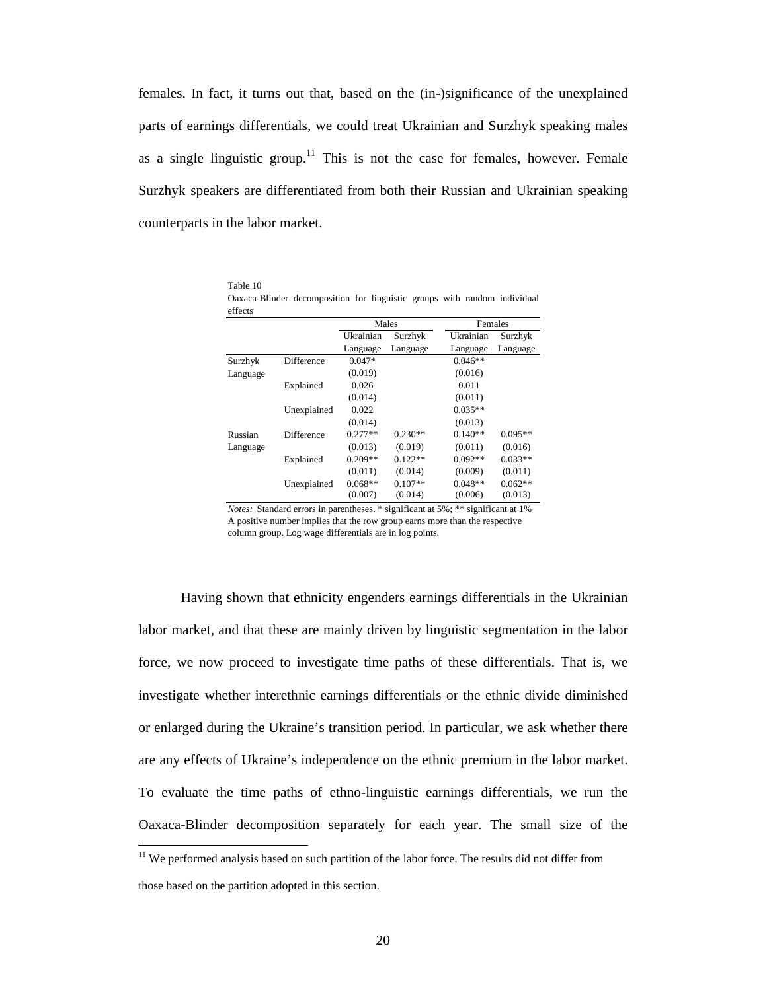females. In fact, it turns out that, based on the (in-)significance of the unexplained parts of earnings differentials, we could treat Ukrainian and Surzhyk speaking males as a single linguistic group.<sup>11</sup> This is not the case for females, however. Female Surzhyk speakers are differentiated from both their Russian and Ukrainian speaking counterparts in the labor market.

| effects  |             |           |           |           |           |
|----------|-------------|-----------|-----------|-----------|-----------|
|          |             | Males     |           | Females   |           |
|          |             | Ukrainian | Surzhyk   | Ukrainian | Surzhyk   |
|          |             | Language  | Language  | Language  | Language  |
| Surzhyk  | Difference  | $0.047*$  |           | $0.046**$ |           |
| Language |             | (0.019)   |           | (0.016)   |           |
|          | Explained   | 0.026     |           | 0.011     |           |
|          |             | (0.014)   |           | (0.011)   |           |
|          | Unexplained | 0.022     |           | $0.035**$ |           |
|          |             | (0.014)   |           | (0.013)   |           |
| Russian  | Difference  | $0.277**$ | $0.230**$ | $0.140**$ | $0.095**$ |
| Language |             | (0.013)   | (0.019)   | (0.011)   | (0.016)   |
|          | Explained   | $0.209**$ | $0.122**$ | $0.092**$ | $0.033**$ |
|          |             | (0.011)   | (0.014)   | (0.009)   | (0.011)   |
|          | Unexplained | $0.068**$ | $0.107**$ | $0.048**$ | $0.062**$ |
|          |             | (0.007)   | (0.014)   | (0.006)   | (0.013)   |

Table 10 Oaxaca-Blinder decomposition for linguistic groups with random individual

*Notes:* Standard errors in parentheses. \* significant at 5%; \*\* significant at 1% A positive number implies that the row group earns more than the respective column group. Log wage differentials are in log points.

 Having shown that ethnicity engenders earnings differentials in the Ukrainian labor market, and that these are mainly driven by linguistic segmentation in the labor force, we now proceed to investigate time paths of these differentials. That is, we investigate whether interethnic earnings differentials or the ethnic divide diminished or enlarged during the Ukraine's transition period. In particular, we ask whether there are any effects of Ukraine's independence on the ethnic premium in the labor market. To evaluate the time paths of ethno-linguistic earnings differentials, we run the Oaxaca-Blinder decomposition separately for each year. The small size of the

 $\overline{a}$ 

 $11$  We performed analysis based on such partition of the labor force. The results did not differ from

those based on the partition adopted in this section.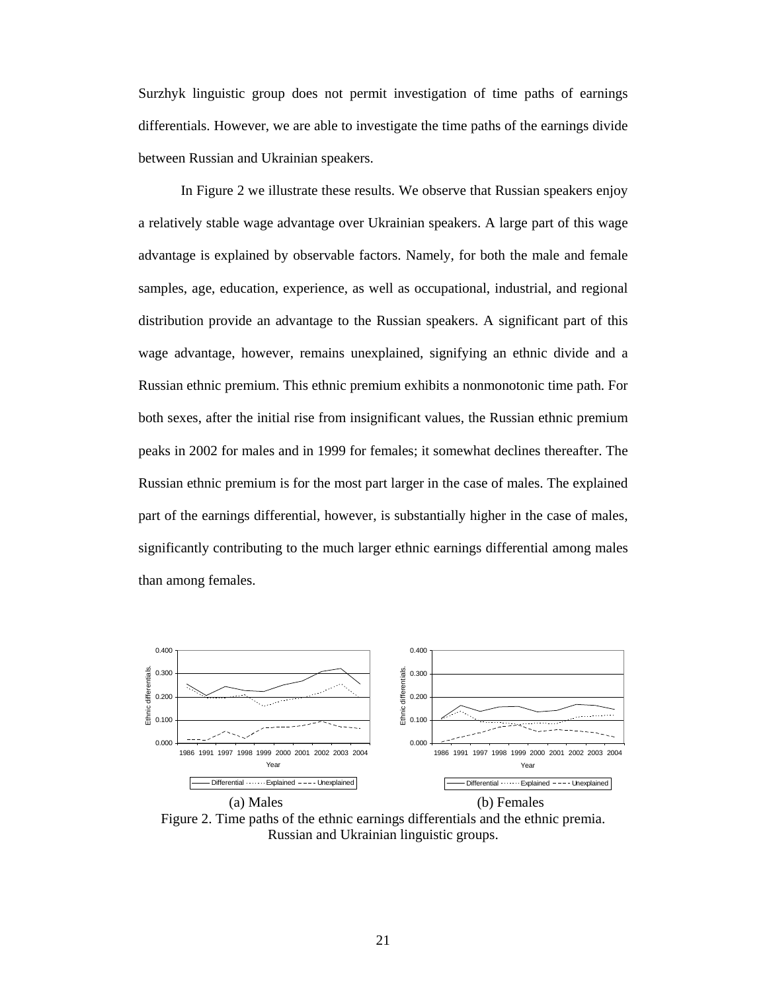Surzhyk linguistic group does not permit investigation of time paths of earnings differentials. However, we are able to investigate the time paths of the earnings divide between Russian and Ukrainian speakers.

In Figure 2 we illustrate these results. We observe that Russian speakers enjoy a relatively stable wage advantage over Ukrainian speakers. A large part of this wage advantage is explained by observable factors. Namely, for both the male and female samples, age, education, experience, as well as occupational, industrial, and regional distribution provide an advantage to the Russian speakers. A significant part of this wage advantage, however, remains unexplained, signifying an ethnic divide and a Russian ethnic premium. This ethnic premium exhibits a nonmonotonic time path. For both sexes, after the initial rise from insignificant values, the Russian ethnic premium peaks in 2002 for males and in 1999 for females; it somewhat declines thereafter. The Russian ethnic premium is for the most part larger in the case of males. The explained part of the earnings differential, however, is substantially higher in the case of males, significantly contributing to the much larger ethnic earnings differential among males than among females.



Figure 2. Time paths of the ethnic earnings differentials and the ethnic premia. Russian and Ukrainian linguistic groups.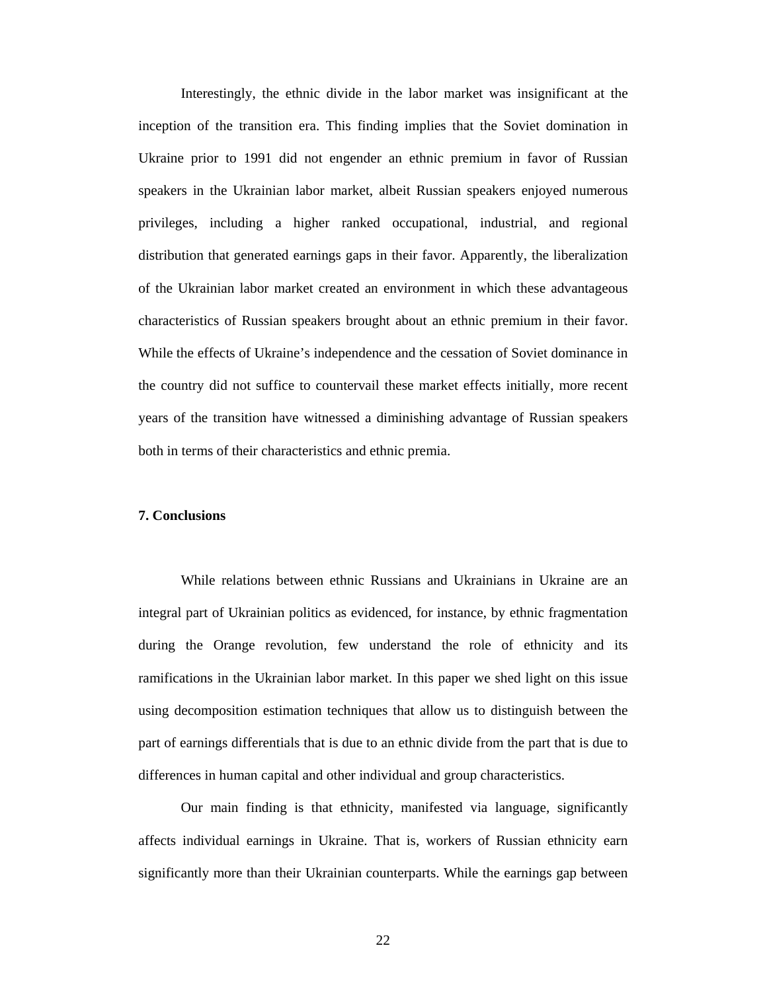Interestingly, the ethnic divide in the labor market was insignificant at the inception of the transition era. This finding implies that the Soviet domination in Ukraine prior to 1991 did not engender an ethnic premium in favor of Russian speakers in the Ukrainian labor market, albeit Russian speakers enjoyed numerous privileges, including a higher ranked occupational, industrial, and regional distribution that generated earnings gaps in their favor. Apparently, the liberalization of the Ukrainian labor market created an environment in which these advantageous characteristics of Russian speakers brought about an ethnic premium in their favor. While the effects of Ukraine's independence and the cessation of Soviet dominance in the country did not suffice to countervail these market effects initially, more recent years of the transition have witnessed a diminishing advantage of Russian speakers both in terms of their characteristics and ethnic premia.

#### **7. Conclusions**

 While relations between ethnic Russians and Ukrainians in Ukraine are an integral part of Ukrainian politics as evidenced, for instance, by ethnic fragmentation during the Orange revolution, few understand the role of ethnicity and its ramifications in the Ukrainian labor market. In this paper we shed light on this issue using decomposition estimation techniques that allow us to distinguish between the part of earnings differentials that is due to an ethnic divide from the part that is due to differences in human capital and other individual and group characteristics.

 Our main finding is that ethnicity, manifested via language, significantly affects individual earnings in Ukraine. That is, workers of Russian ethnicity earn significantly more than their Ukrainian counterparts. While the earnings gap between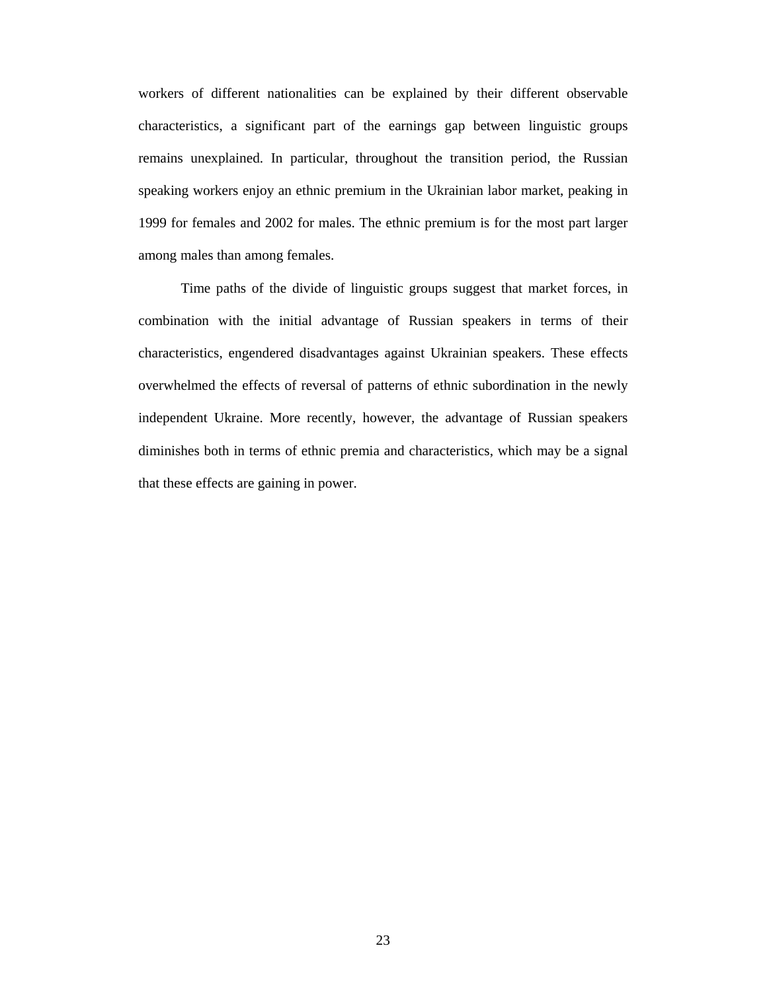workers of different nationalities can be explained by their different observable characteristics, a significant part of the earnings gap between linguistic groups remains unexplained. In particular, throughout the transition period, the Russian speaking workers enjoy an ethnic premium in the Ukrainian labor market, peaking in 1999 for females and 2002 for males. The ethnic premium is for the most part larger among males than among females.

Time paths of the divide of linguistic groups suggest that market forces, in combination with the initial advantage of Russian speakers in terms of their characteristics, engendered disadvantages against Ukrainian speakers. These effects overwhelmed the effects of reversal of patterns of ethnic subordination in the newly independent Ukraine. More recently, however, the advantage of Russian speakers diminishes both in terms of ethnic premia and characteristics, which may be a signal that these effects are gaining in power.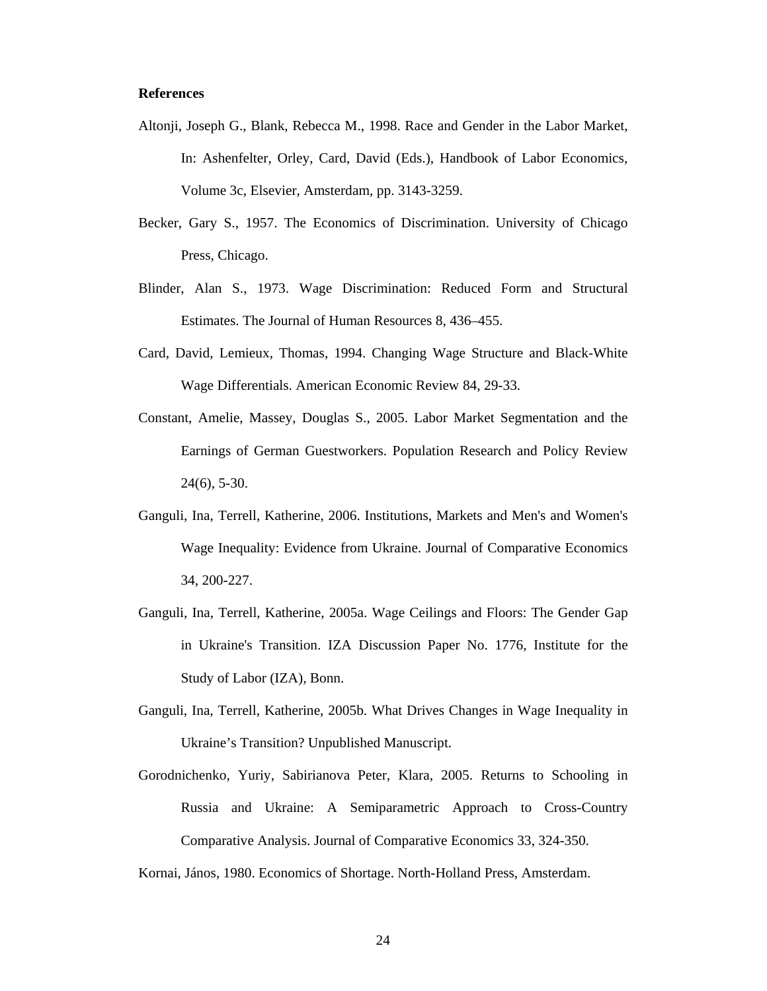#### **References**

- Altonji, Joseph G., Blank, Rebecca M., 1998. Race and Gender in the Labor Market, In: Ashenfelter, Orley, Card, David (Eds.), Handbook of Labor Economics, Volume 3c, Elsevier, Amsterdam, pp. 3143-3259.
- Becker, Gary S., 1957. The Economics of Discrimination. University of Chicago Press, Chicago.
- Blinder, Alan S., 1973. Wage Discrimination: Reduced Form and Structural Estimates. The Journal of Human Resources 8, 436–455.
- Card, David, Lemieux, Thomas, 1994. Changing Wage Structure and Black-White Wage Differentials. American Economic Review 84, 29-33.
- Constant, Amelie, Massey, Douglas S., 2005. Labor Market Segmentation and the Earnings of German Guestworkers. Population Research and Policy Review 24(6), 5-30.
- Ganguli, Ina, Terrell, Katherine, 2006. Institutions, Markets and Men's and Women's Wage Inequality: Evidence from Ukraine. Journal of Comparative Economics 34, 200-227.
- Ganguli, Ina, Terrell, Katherine, 2005a. Wage Ceilings and Floors: The Gender Gap in Ukraine's Transition. IZA Discussion Paper No. 1776, Institute for the Study of Labor (IZA), Bonn.
- Ganguli, Ina, Terrell, Katherine, 2005b. What Drives Changes in Wage Inequality in Ukraine's Transition? Unpublished Manuscript.
- Gorodnichenko, Yuriy, Sabirianova Peter, Klara, 2005. Returns to Schooling in Russia and Ukraine: A Semiparametric Approach to Cross-Country Comparative Analysis. Journal of Comparative Economics 33, 324-350.
- Kornai, János, 1980. Economics of Shortage. North-Holland Press, Amsterdam.